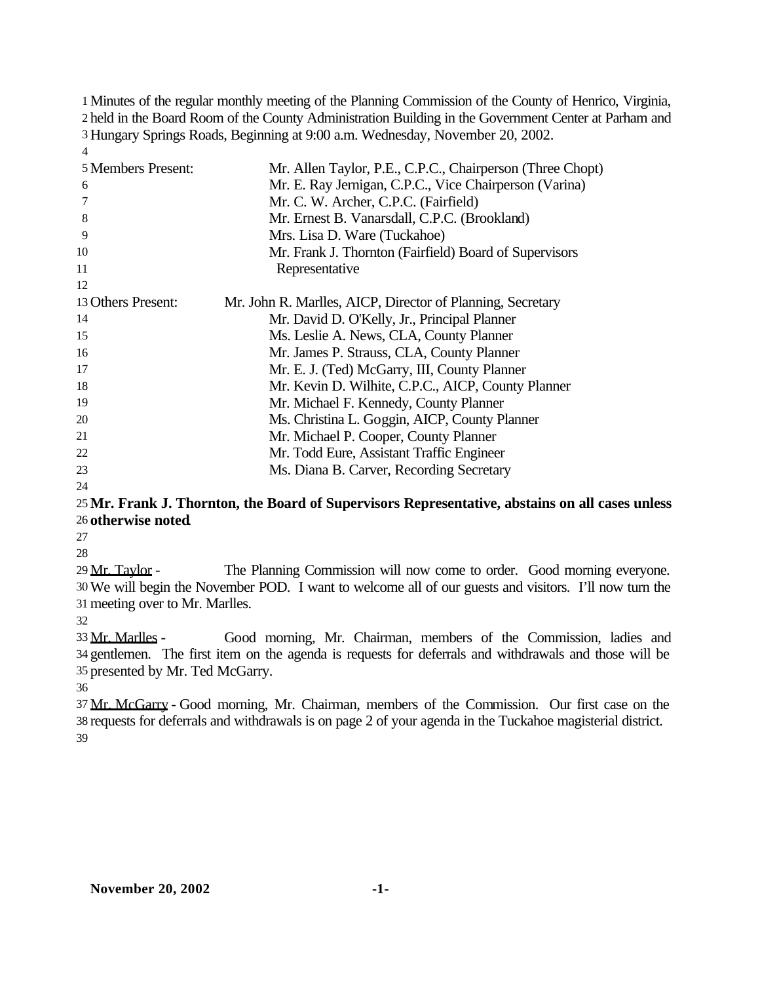Minutes of the regular monthly meeting of the Planning Commission of the County of Henrico, Virginia, held in the Board Room of the County Administration Building in the Government Center at Parham and Hungary Springs Roads, Beginning at 9:00 a.m. Wednesday, November 20, 2002. 

| 5 Members Present: | Mr. Allen Taylor, P.E., C.P.C., Chairperson (Three Chopt)  |
|--------------------|------------------------------------------------------------|
| 6                  | Mr. E. Ray Jernigan, C.P.C., Vice Chairperson (Varina)     |
| 7                  | Mr. C. W. Archer, C.P.C. (Fairfield)                       |
| 8                  | Mr. Ernest B. Vanarsdall, C.P.C. (Brookland)               |
| 9                  | Mrs. Lisa D. Ware (Tuckahoe)                               |
| 10                 | Mr. Frank J. Thornton (Fairfield) Board of Supervisors     |
| 11                 | Representative                                             |
| 12                 |                                                            |
| 13 Others Present: | Mr. John R. Marlles, AICP, Director of Planning, Secretary |
| 14                 | Mr. David D. O'Kelly, Jr., Principal Planner               |
| 15                 | Ms. Leslie A. News, CLA, County Planner                    |
| 16                 | Mr. James P. Strauss, CLA, County Planner                  |
| 17                 | Mr. E. J. (Ted) McGarry, III, County Planner               |
| 18                 | Mr. Kevin D. Wilhite, C.P.C., AICP, County Planner         |
| 19                 | Mr. Michael F. Kennedy, County Planner                     |
| 20                 | Ms. Christina L. Goggin, AICP, County Planner              |
| 21                 | Mr. Michael P. Cooper, County Planner                      |
| 22                 | Mr. Todd Eure, Assistant Traffic Engineer                  |
| 23                 | Ms. Diana B. Carver, Recording Secretary                   |
| 24                 |                                                            |

### **Mr. Frank J. Thornton, the Board of Supervisors Representative, abstains on all cases unless otherwise noted**.

 Mr. Taylor - The Planning Commission will now come to order. Good morning everyone. We will begin the November POD. I want to welcome all of our guests and visitors. I'll now turn the meeting over to Mr. Marlles.

 Mr. Marlles - Good morning, Mr. Chairman, members of the Commission, ladies and gentlemen. The first item on the agenda is requests for deferrals and withdrawals and those will be presented by Mr. Ted McGarry.

 Mr. McGarry - Good morning, Mr. Chairman, members of the Commission. Our first case on the requests for deferrals and withdrawals is on page 2 of your agenda in the Tuckahoe magisterial district.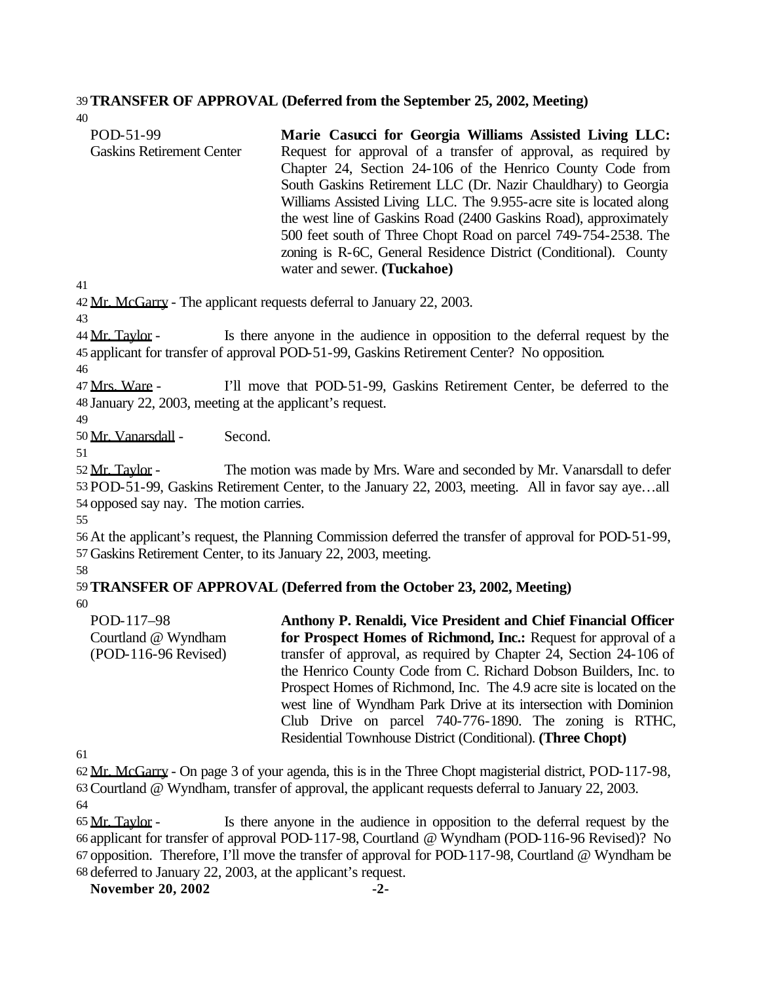#### 39**TRANSFER OF APPROVAL (Deferred from the September 25, 2002, Meeting)**

| POD-51-99                        | Marie Casucci for Georgia Williams Assisted Living LLC:            |
|----------------------------------|--------------------------------------------------------------------|
| <b>Gaskins Retirement Center</b> | Request for approval of a transfer of approval, as required by     |
|                                  | Chapter 24, Section 24-106 of the Henrico County Code from         |
|                                  | South Gaskins Retirement LLC (Dr. Nazir Chauldhary) to Georgia     |
|                                  | Williams Assisted Living LLC. The 9.955-acre site is located along |
|                                  | the west line of Gaskins Road (2400 Gaskins Road), approximately   |
|                                  | 500 feet south of Three Chopt Road on parcel 749-754-2538. The     |
|                                  | zoning is R-6C, General Residence District (Conditional). County   |
|                                  | water and sewer. (Tuckahoe)                                        |

41

40

42 Mr. McGarry - The applicant requests deferral to January 22, 2003.

43

44 Mr. Taylor - Is there anyone in the audience in opposition to the deferral request by the 45 applicant for transfer of approval POD-51-99, Gaskins Retirement Center? No opposition.

46

47 Mrs. Ware - I'll move that POD-51-99, Gaskins Retirement Center, be deferred to the 48 January 22, 2003, meeting at the applicant's request.

49

50 Mr. Vanarsdall - Second.

51

52 Mr. Taylor - The motion was made by Mrs. Ware and seconded by Mr. Vanarsdall to defer 53 POD-51-99, Gaskins Retirement Center, to the January 22, 2003, meeting. All in favor say aye…all 54 opposed say nay. The motion carries.

55

56 At the applicant's request, the Planning Commission deferred the transfer of approval for POD-51-99, 57 Gaskins Retirement Center, to its January 22, 2003, meeting.

58

# 59**TRANSFER OF APPROVAL (Deferred from the October 23, 2002, Meeting)**

60

POD-117–98 Courtland @ Wyndham (POD-116-96 Revised) **Anthony P. Renaldi, Vice President and Chief Financial Officer for Prospect Homes of Richmond, Inc.:** Request for approval of a transfer of approval, as required by Chapter 24, Section 24-106 of the Henrico County Code from C. Richard Dobson Builders, Inc. to Prospect Homes of Richmond, Inc. The 4.9 acre site is located on the west line of Wyndham Park Drive at its intersection with Dominion Club Drive on parcel 740-776-1890. The zoning is RTHC, Residential Townhouse District (Conditional). **(Three Chopt)**

61

62 Mr. McGarry - On page 3 of your agenda, this is in the Three Chopt magisterial district, POD-117-98, 63Courtland @ Wyndham, transfer of approval, the applicant requests deferral to January 22, 2003. 64

 Mr. Taylor - Is there anyone in the audience in opposition to the deferral request by the applicant for transfer of approval POD-117-98, Courtland @ Wyndham (POD-116-96 Revised)? No opposition. Therefore, I'll move the transfer of approval for POD-117-98, Courtland @ Wyndham be deferred to January 22, 2003, at the applicant's request.

**November 20, 2002 -2-**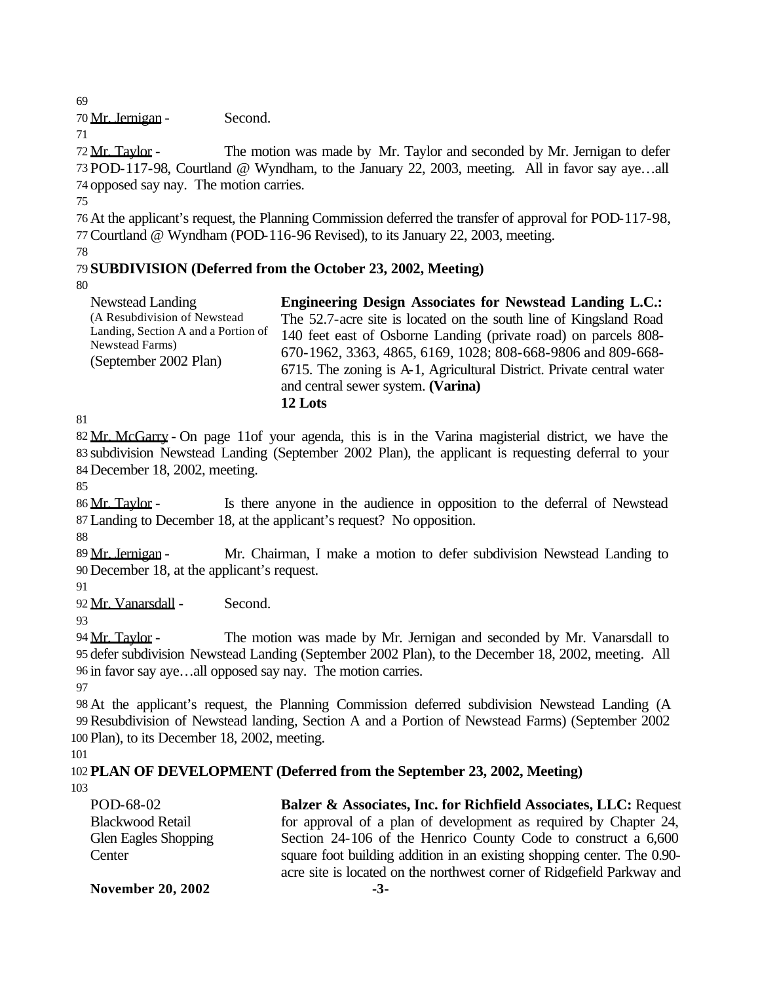69

70 Mr. Jernigan - Second.

71

72 Mr. Taylor - The motion was made by Mr. Taylor and seconded by Mr. Jernigan to defer 73 POD-117-98, Courtland @ Wyndham, to the January 22, 2003, meeting. All in favor say aye…all 74 opposed say nay. The motion carries.

75

76 At the applicant's request, the Planning Commission deferred the transfer of approval for POD-117-98, 77Courtland @ Wyndham (POD-116-96 Revised), to its January 22, 2003, meeting.

78

## 79 **SUBDIVISION (Deferred from the October 23, 2002, Meeting)**

80

| Newstead Landing                    | <b>Engineering Design Associates for Newstead Landing L.C.:</b>       |
|-------------------------------------|-----------------------------------------------------------------------|
| (A Resubdivision of Newstead)       | The 52.7-acre site is located on the south line of Kingsland Road     |
| Landing, Section A and a Portion of | 140 feet east of Osborne Landing (private road) on parcels 808-       |
| Newstead Farms)                     | 670-1962, 3363, 4865, 6169, 1028; 808-668-9806 and 809-668-           |
| (September 2002 Plan)               | 6715. The zoning is A-1, Agricultural District. Private central water |
|                                     | and central sewer system. (Varina)                                    |
|                                     | 12 Lots                                                               |

81

82 Mr. McGarry - On page 11of your agenda, this is in the Varina magisterial district, we have the 83 subdivision Newstead Landing (September 2002 Plan), the applicant is requesting deferral to your 84 December 18, 2002, meeting.

85

86 Mr. Taylor - Is there anyone in the audience in opposition to the deferral of Newstead 87 Landing to December 18, at the applicant's request? No opposition.

88

89 Mr. Jernigan - Mr. Chairman, I make a motion to defer subdivision Newstead Landing to 90 December 18, at the applicant's request.

91

92 Mr. Vanarsdall - Second.

93

 Mr. Taylor - The motion was made by Mr. Jernigan and seconded by Mr. Vanarsdall to defer subdivision Newstead Landing (September 2002 Plan), to the December 18, 2002, meeting. All in favor say aye…all opposed say nay. The motion carries. 97

98 At the applicant's request, the Planning Commission deferred subdivision Newstead Landing (A 99Resubdivision of Newstead landing, Section A and a Portion of Newstead Farms) (September 2002 100 Plan), to its December 18, 2002, meeting.

101

102 **PLAN OF DEVELOPMENT (Deferred from the September 23, 2002, Meeting)** 103

| POD-68-02                   | Balzer & Associates, Inc. for Richfield Associates, LLC: Request        |
|-----------------------------|-------------------------------------------------------------------------|
| <b>Blackwood Retail</b>     | for approval of a plan of development as required by Chapter 24,        |
| <b>Glen Eagles Shopping</b> | Section 24-106 of the Henrico County Code to construct a 6,600          |
| Center                      | square foot building addition in an existing shopping center. The 0.90- |
|                             | acre site is located on the northwest corner of Ridgefield Parkway and  |
| <b>November 20, 2002</b>    | $-3-$                                                                   |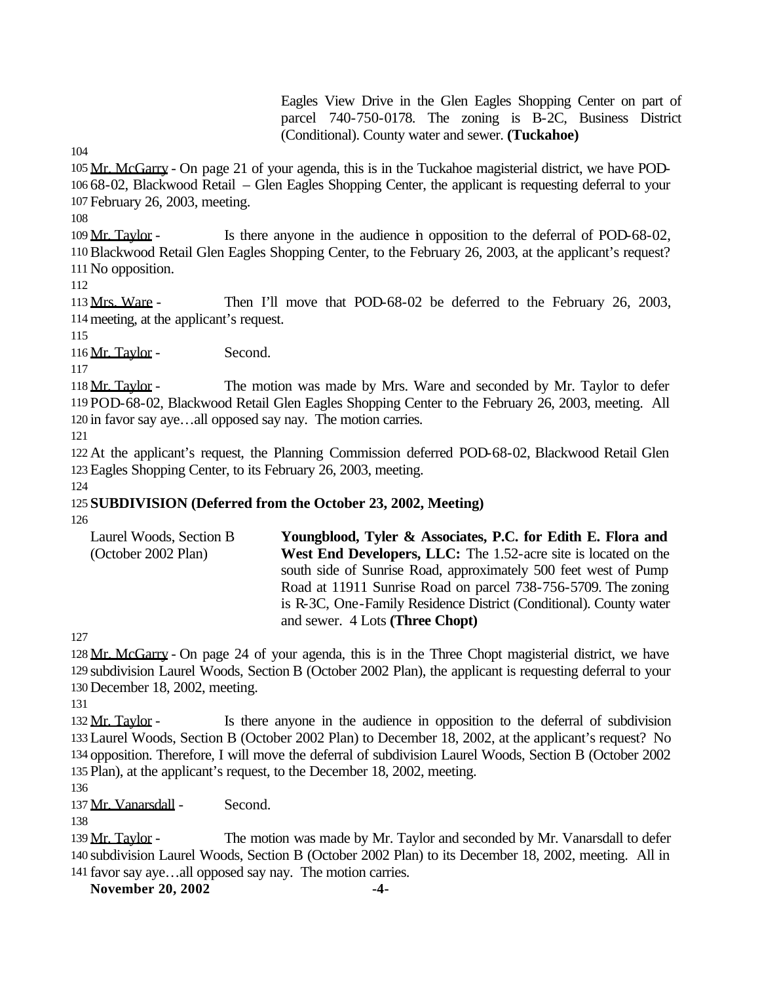Eagles View Drive in the Glen Eagles Shopping Center on part of parcel 740-750-0178. The zoning is B-2C, Business District (Conditional). County water and sewer. **(Tuckahoe)**

 Mr. McGarry - On page 21 of your agenda, this is in the Tuckahoe magisterial district, we have POD- 68-02, Blackwood Retail – Glen Eagles Shopping Center, the applicant is requesting deferral to your February 26, 2003, meeting.

 Mr. Taylor - Is there anyone in the audience in opposition to the deferral of POD-68-02, Blackwood Retail Glen Eagles Shopping Center, to the February 26, 2003, at the applicant's request? No opposition.

 Mrs. Ware - Then I'll move that POD-68-02 be deferred to the February 26, 2003, meeting, at the applicant's request.

116 Mr. Taylor - Second.

118 Mr. Taylor - The motion was made by Mrs. Ware and seconded by Mr. Taylor to defer POD-68-02, Blackwood Retail Glen Eagles Shopping Center to the February 26, 2003, meeting. All in favor say aye…all opposed say nay. The motion carries.

 At the applicant's request, the Planning Commission deferred POD-68-02, Blackwood Retail Glen Eagles Shopping Center, to its February 26, 2003, meeting.

# **SUBDIVISION (Deferred from the October 23, 2002, Meeting)**

| Laurel Woods, Section B | Youngblood, Tyler & Associates, P.C. for Edith E. Flora and           |
|-------------------------|-----------------------------------------------------------------------|
| (October 2002 Plan)     | <b>West End Developers, LLC:</b> The 1.52-acre site is located on the |
|                         | south side of Sunrise Road, approximately 500 feet west of Pump       |
|                         | Road at 11911 Sunrise Road on parcel 738-756-5709. The zoning         |
|                         | is R-3C, One-Family Residence District (Conditional). County water    |
|                         | and sewer. 4 Lots ( <b>Three Chopt</b> )                              |

 Mr. McGarry - On page 24 of your agenda, this is in the Three Chopt magisterial district, we have subdivision Laurel Woods, Section B (October 2002 Plan), the applicant is requesting deferral to your December 18, 2002, meeting.

132 Mr. Taylor - Is there anyone in the audience in opposition to the deferral of subdivision Laurel Woods, Section B (October 2002 Plan) to December 18, 2002, at the applicant's request? No opposition. Therefore, I will move the deferral of subdivision Laurel Woods, Section B (October 2002 Plan), at the applicant's request, to the December 18, 2002, meeting.

137 Mr. Vanarsdall - Second.

139 Mr. Taylor - The motion was made by Mr. Taylor and seconded by Mr. Vanarsdall to defer subdivision Laurel Woods, Section B (October 2002 Plan) to its December 18, 2002, meeting. All in favor say aye…all opposed say nay. The motion carries.

**November 20, 2002 -4-**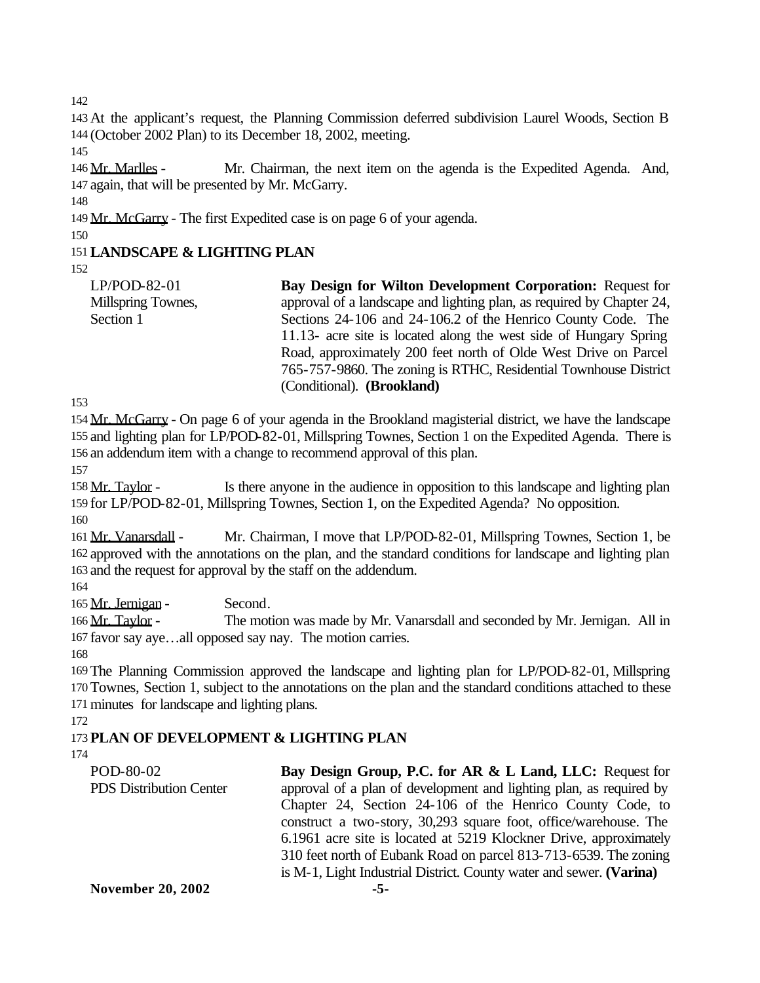142

143 At the applicant's request, the Planning Commission deferred subdivision Laurel Woods, Section B 144 (October 2002 Plan) to its December 18, 2002, meeting.

145

146 Mr. Marlles - Mr. Chairman, the next item on the agenda is the Expedited Agenda. And, 147 again, that will be presented by Mr. McGarry.

148

149 Mr. McGarry - The first Expedited case is on page 6 of your agenda.

150

# 151**LANDSCAPE & LIGHTING PLAN**

152

LP/POD-82-01 Millspring Townes, Section 1 **Bay Design for Wilton Development Corporation:** Request for approval of a landscape and lighting plan, as required by Chapter 24, Sections 24-106 and 24-106.2 of the Henrico County Code. The 11.13- acre site is located along the west side of Hungary Spring Road, approximately 200 feet north of Olde West Drive on Parcel 765-757-9860. The zoning is RTHC, Residential Townhouse District (Conditional). **(Brookland)**

153

154 Mr. McGarry - On page 6 of your agenda in the Brookland magisterial district, we have the landscape 155 and lighting plan for LP/POD-82-01, Millspring Townes, Section 1 on the Expedited Agenda. There is 156 an addendum item with a change to recommend approval of this plan.

157

158 Mr. Taylor - Is there anyone in the audience in opposition to this landscape and lighting plan 159 for LP/POD-82-01, Millspring Townes, Section 1, on the Expedited Agenda? No opposition.

160

161 Mr. Vanarsdall - Mr. Chairman, I move that LP/POD-82-01, Millspring Townes, Section 1, be 162 approved with the annotations on the plan, and the standard conditions for landscape and lighting plan 163 and the request for approval by the staff on the addendum.

164

165 Mr. Jernigan - Second.

166 Mr. Taylor - The motion was made by Mr. Vanarsdall and seconded by Mr. Jernigan. All in 167 favor say aye…all opposed say nay. The motion carries.

168

169 The Planning Commission approved the landscape and lighting plan for LP/POD-82-01, Millspring 170 Townes, Section 1, subject to the annotations on the plan and the standard conditions attached to these 171 minutes for landscape and lighting plans.

172

# 173 **PLAN OF DEVELOPMENT & LIGHTING PLAN**

174

| POD-80-02                      | Bay Design Group, P.C. for AR & L Land, LLC: Request for            |
|--------------------------------|---------------------------------------------------------------------|
| <b>PDS</b> Distribution Center | approval of a plan of development and lighting plan, as required by |
|                                | Chapter 24, Section 24-106 of the Henrico County Code, to           |
|                                | construct a two-story, 30,293 square foot, office/warehouse. The    |
|                                | 6.1961 acre site is located at 5219 Klockner Drive, approximately   |
|                                | 310 feet north of Eubank Road on parcel 813-713-6539. The zoning    |
|                                | is M-1, Light Industrial District. County water and sewer. (Varina) |
| <b>November 20, 2002</b>       | -5-                                                                 |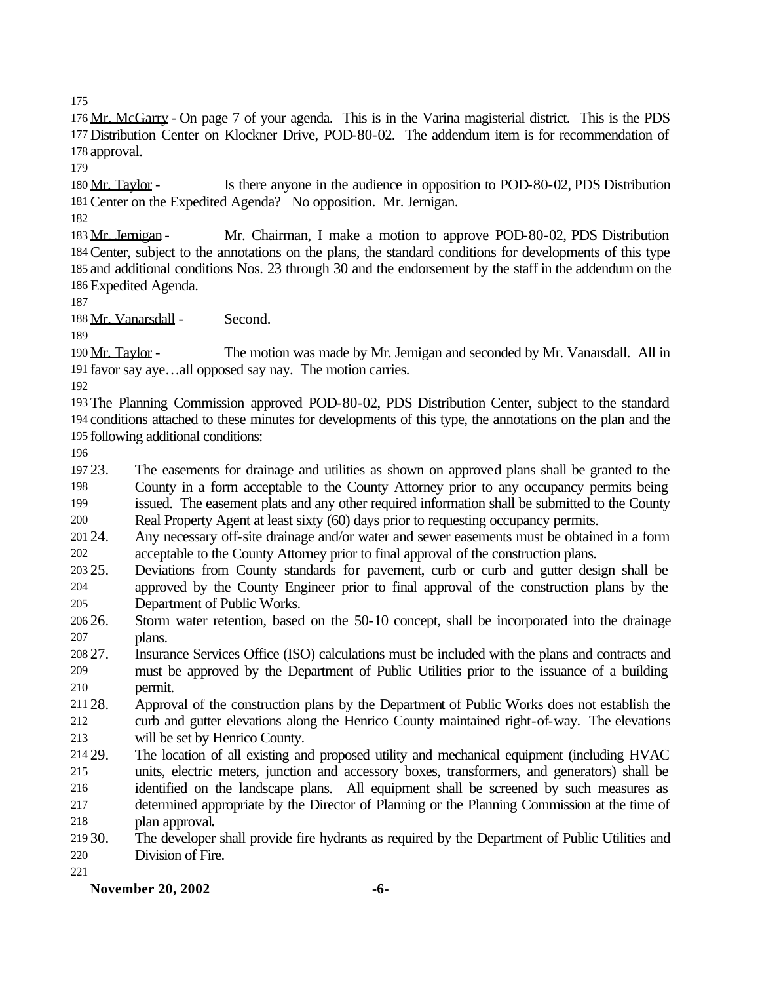Mr. McGarry - On page 7 of your agenda. This is in the Varina magisterial district. This is the PDS Distribution Center on Klockner Drive, POD-80-02. The addendum item is for recommendation of approval.

180 Mr. Taylor - Is there anyone in the audience in opposition to POD-80-02, PDS Distribution Center on the Expedited Agenda? No opposition. Mr. Jernigan.

183 Mr. Jernigan - Mr. Chairman, I make a motion to approve POD-80-02, PDS Distribution Center, subject to the annotations on the plans, the standard conditions for developments of this type and additional conditions Nos. 23 through 30 and the endorsement by the staff in the addendum on the Expedited Agenda.

188 Mr. Vanarsdall - Second.

 Mr. Taylor - The motion was made by Mr. Jernigan and seconded by Mr. Vanarsdall. All in favor say aye…all opposed say nay. The motion carries.

 The Planning Commission approved POD-80-02, PDS Distribution Center, subject to the standard conditions attached to these minutes for developments of this type, the annotations on the plan and the following additional conditions:

 23. The easements for drainage and utilities as shown on approved plans shall be granted to the County in a form acceptable to the County Attorney prior to any occupancy permits being

issued. The easement plats and any other required information shall be submitted to the County

Real Property Agent at least sixty (60) days prior to requesting occupancy permits.

 24. Any necessary off-site drainage and/or water and sewer easements must be obtained in a form acceptable to the County Attorney prior to final approval of the construction plans.

25. Deviations from County standards for pavement, curb or curb and gutter design shall be

 approved by the County Engineer prior to final approval of the construction plans by the Department of Public Works.

 26. Storm water retention, based on the 50-10 concept, shall be incorporated into the drainage plans.

 27. Insurance Services Office (ISO) calculations must be included with the plans and contracts and must be approved by the Department of Public Utilities prior to the issuance of a building permit.

 28. Approval of the construction plans by the Department of Public Works does not establish the curb and gutter elevations along the Henrico County maintained right-of-way. The elevations will be set by Henrico County.

 29. The location of all existing and proposed utility and mechanical equipment (including HVAC units, electric meters, junction and accessory boxes, transformers, and generators) shall be identified on the landscape plans. All equipment shall be screened by such measures as determined appropriate by the Director of Planning or the Planning Commission at the time of plan approval**.**

 30. The developer shall provide fire hydrants as required by the Department of Public Utilities and Division of Fire.

**November 20, 2002 -6-**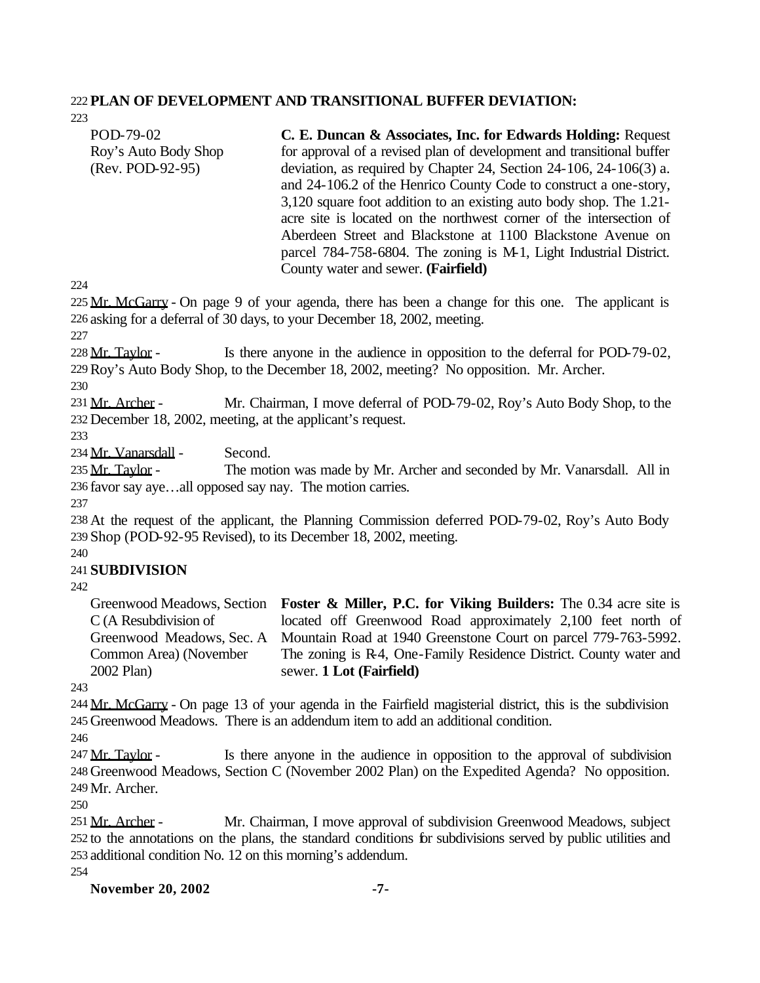#### 222 **PLAN OF DEVELOPMENT AND TRANSITIONAL BUFFER DEVIATION:**

POD-79-02 Roy's Auto Body Shop (Rev. POD-92-95) **C. E. Duncan & Associates, Inc. for Edwards Holding:** Request for approval of a revised plan of development and transitional buffer deviation, as required by Chapter 24, Section 24-106, 24-106(3) a. and 24-106.2 of the Henrico County Code to construct a one-story, 3,120 square foot addition to an existing auto body shop. The 1.21 acre site is located on the northwest corner of the intersection of Aberdeen Street and Blackstone at 1100 Blackstone Avenue on parcel 784-758-6804. The zoning is M-1, Light Industrial District. County water and sewer. **(Fairfield)**

224

223

225 Mr. McGarry - On page 9 of your agenda, there has been a change for this one. The applicant is 226 asking for a deferral of 30 days, to your December 18, 2002, meeting.

227

228 Mr. Taylor - Is there anyone in the audience in opposition to the deferral for POD-79-02, 229Roy's Auto Body Shop, to the December 18, 2002, meeting? No opposition. Mr. Archer.

230

231 Mr. Archer - Mr. Chairman, I move deferral of POD-79-02, Roy's Auto Body Shop, to the 232 December 18, 2002, meeting, at the applicant's request.

233

234 Mr. Vanarsdall - Second.

235 Mr. Taylor - The motion was made by Mr. Archer and seconded by Mr. Vanarsdall. All in 236 favor say aye…all opposed say nay. The motion carries.

237

238 At the request of the applicant, the Planning Commission deferred POD-79-02, Roy's Auto Body 239 Shop (POD-92-95 Revised), to its December 18, 2002, meeting.

240

#### 241 **SUBDIVISION**

242

Greenwood Meadows, Section **Foster & Miller, P.C. for Viking Builders:** The 0.34 acre site is C (A Resubdivision of Greenwood Meadows, Sec. A Common Area) (November 2002 Plan) located off Greenwood Road approximately 2,100 feet north of Mountain Road at 1940 Greenstone Court on parcel 779-763-5992. The zoning is R-4, One-Family Residence District. County water and sewer. **1 Lot (Fairfield)**

243

244 Mr. McGarry - On page 13 of your agenda in the Fairfield magisterial district, this is the subdivision 245 Greenwood Meadows. There is an addendum item to add an additional condition.

247 Mr. Taylor - Is there anyone in the audience in opposition to the approval of subdivision 248 Greenwood Meadows, Section C (November 2002 Plan) on the Expedited Agenda? No opposition. 249 Mr. Archer.

250

251 Mr. Archer - Mr. Chairman, I move approval of subdivision Greenwood Meadows, subject 252 to the annotations on the plans, the standard conditions for subdivisions served by public utilities and 253 additional condition No. 12 on this morning's addendum.

254

**November 20, 2002 -7-**

<sup>246</sup>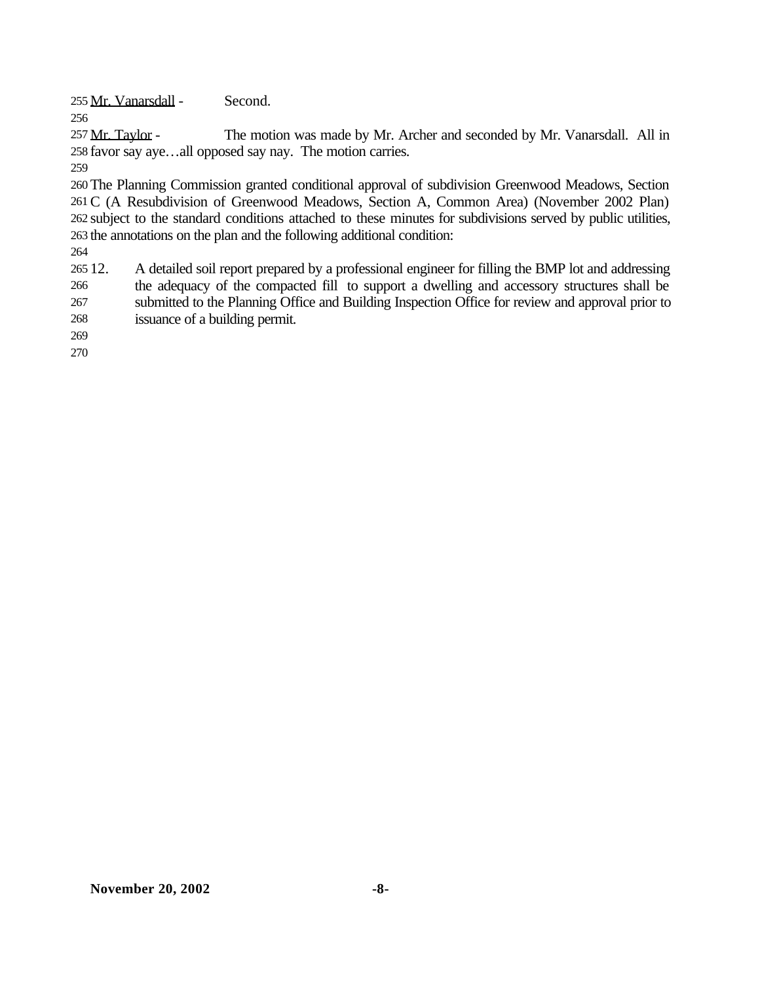Mr. Vanarsdall - Second.

257 Mr. Taylor - The motion was made by Mr. Archer and seconded by Mr. Vanarsdall. All in favor say aye…all opposed say nay. The motion carries.

 The Planning Commission granted conditional approval of subdivision Greenwood Meadows, Section C (A Resubdivision of Greenwood Meadows, Section A, Common Area) (November 2002 Plan) subject to the standard conditions attached to these minutes for subdivisions served by public utilities, the annotations on the plan and the following additional condition:

 12. A detailed soil report prepared by a professional engineer for filling the BMP lot and addressing the adequacy of the compacted fill to support a dwelling and accessory structures shall be submitted to the Planning Office and Building Inspection Office for review and approval prior to issuance of a building permit.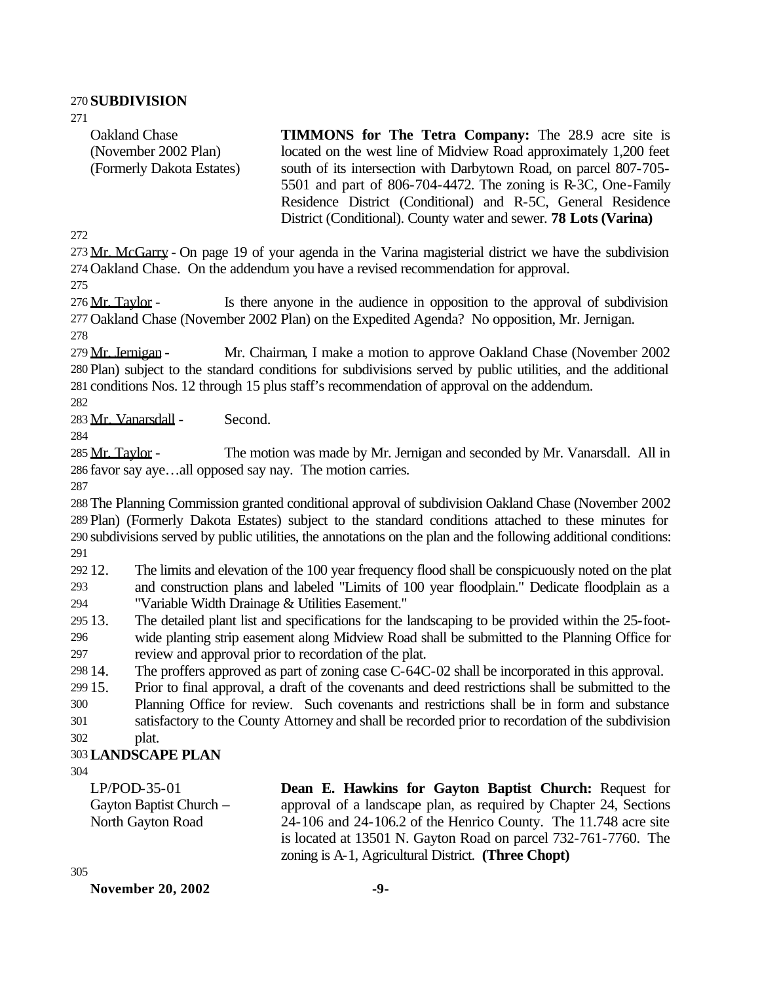#### 270 **SUBDIVISION**

271

Oakland Chase (November 2002 Plan) (Formerly Dakota Estates) **TIMMONS for The Tetra Company:** The 28.9 acre site is located on the west line of Midview Road approximately 1,200 feet south of its intersection with Darbytown Road, on parcel 807-705- 5501 and part of 806-704-4472. The zoning is R-3C, One-Family Residence District (Conditional) and R-5C, General Residence District (Conditional). County water and sewer. **78 Lots (Varina)**

272

273 Mr. McGarry - On page 19 of your agenda in the Varina magisterial district we have the subdivision 274 Oakland Chase. On the addendum you have a revised recommendation for approval.

275

276 Mr. Taylor - Is there anyone in the audience in opposition to the approval of subdivision 277 Oakland Chase (November 2002 Plan) on the Expedited Agenda? No opposition, Mr. Jernigan.

278

279 Mr. Jernigan - Mr. Chairman, I make a motion to approve Oakland Chase (November 2002) 280 Plan) subject to the standard conditions for subdivisions served by public utilities, and the additional 281 conditions Nos. 12 through 15 plus staff's recommendation of approval on the addendum.

282

283 Mr. Vanarsdall - Second.

284

285 Mr. Taylor - The motion was made by Mr. Jernigan and seconded by Mr. Vanarsdall. All in 286 favor say aye…all opposed say nay. The motion carries.

287

 The Planning Commission granted conditional approval of subdivision Oakland Chase (November 2002 Plan) (Formerly Dakota Estates) subject to the standard conditions attached to these minutes for subdivisions served by public utilities, the annotations on the plan and the following additional conditions: 291

292 12. The limits and elevation of the 100 year frequency flood shall be conspicuously noted on the plat 293 and construction plans and labeled "Limits of 100 year floodplain." Dedicate floodplain as a 294 "Variable Width Drainage & Utilities Easement."

295 13. The detailed plant list and specifications for the landscaping to be provided within the 25-foot-296 wide planting strip easement along Midview Road shall be submitted to the Planning Office for 297 review and approval prior to recordation of the plat.

298 14. The proffers approved as part of zoning case C-64C-02 shall be incorporated in this approval.

299 15. Prior to final approval, a draft of the covenants and deed restrictions shall be submitted to the

300 Planning Office for review. Such covenants and restrictions shall be in form and substance

301 satisfactory to the County Attorney and shall be recorded prior to recordation of the subdivision 302 plat.

#### 303**LANDSCAPE PLAN**

304

LP/POD-35-01 Gayton Baptist Church – North Gayton Road **Dean E. Hawkins for Gayton Baptist Church:** Request for approval of a landscape plan, as required by Chapter 24, Sections 24-106 and 24-106.2 of the Henrico County. The 11.748 acre site is located at 13501 N. Gayton Road on parcel 732-761-7760. The zoning is A-1, Agricultural District. **(Three Chopt)**

305

**November 20, 2002 -9-**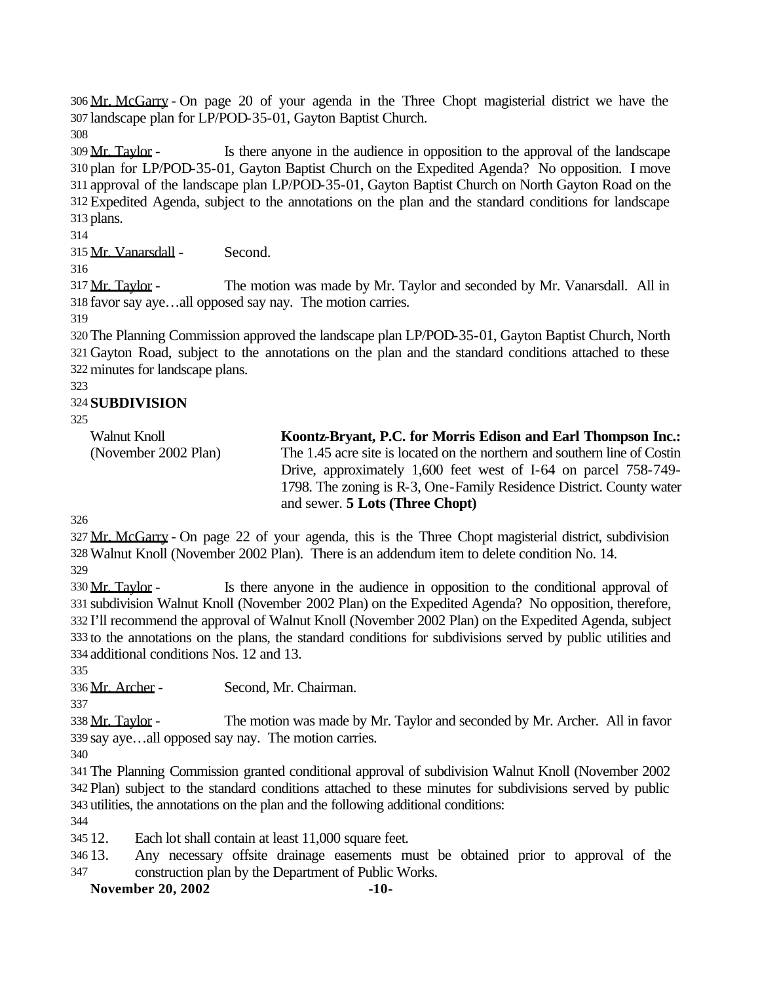Mr. McGarry - On page 20 of your agenda in the Three Chopt magisterial district we have the landscape plan for LP/POD-35-01, Gayton Baptist Church.

 Mr. Taylor - Is there anyone in the audience in opposition to the approval of the landscape plan for LP/POD-35-01, Gayton Baptist Church on the Expedited Agenda? No opposition. I move approval of the landscape plan LP/POD-35-01, Gayton Baptist Church on North Gayton Road on the Expedited Agenda, subject to the annotations on the plan and the standard conditions for landscape plans.

Mr. Vanarsdall - Second.

317 Mr. Taylor - The motion was made by Mr. Taylor and seconded by Mr. Vanarsdall. All in favor say aye…all opposed say nay. The motion carries.

 The Planning Commission approved the landscape plan LP/POD-35-01, Gayton Baptist Church, North Gayton Road, subject to the annotations on the plan and the standard conditions attached to these minutes for landscape plans.

## **SUBDIVISION**

| Walnut Knoll         | Koontz-Bryant, P.C. for Morris Edison and Earl Thompson Inc.:             |
|----------------------|---------------------------------------------------------------------------|
| (November 2002 Plan) | The 1.45 acre site is located on the northern and southern line of Costin |
|                      | Drive, approximately 1,600 feet west of I-64 on parcel 758-749-           |
|                      | 1798. The zoning is R-3, One-Family Residence District. County water      |
|                      | and sewer. <b>5 Lots</b> (Three Chopt)                                    |

327 Mr. McGarry - On page 22 of your agenda, this is the Three Chopt magisterial district, subdivision Walnut Knoll (November 2002 Plan). There is an addendum item to delete condition No. 14.

330 Mr. Taylor - Is there anyone in the audience in opposition to the conditional approval of subdivision Walnut Knoll (November 2002 Plan) on the Expedited Agenda? No opposition, therefore, I'll recommend the approval of Walnut Knoll (November 2002 Plan) on the Expedited Agenda, subject to the annotations on the plans, the standard conditions for subdivisions served by public utilities and additional conditions Nos. 12 and 13.

Mr. Archer - Second, Mr. Chairman.

338 Mr. Taylor - The motion was made by Mr. Taylor and seconded by Mr. Archer. All in favor say aye…all opposed say nay. The motion carries.

 The Planning Commission granted conditional approval of subdivision Walnut Knoll (November 2002 Plan) subject to the standard conditions attached to these minutes for subdivisions served by public utilities, the annotations on the plan and the following additional conditions:

12. Each lot shall contain at least 11,000 square feet.

 13. Any necessary offsite drainage easements must be obtained prior to approval of the construction plan by the Department of Public Works.

**November 20, 2002 -10-**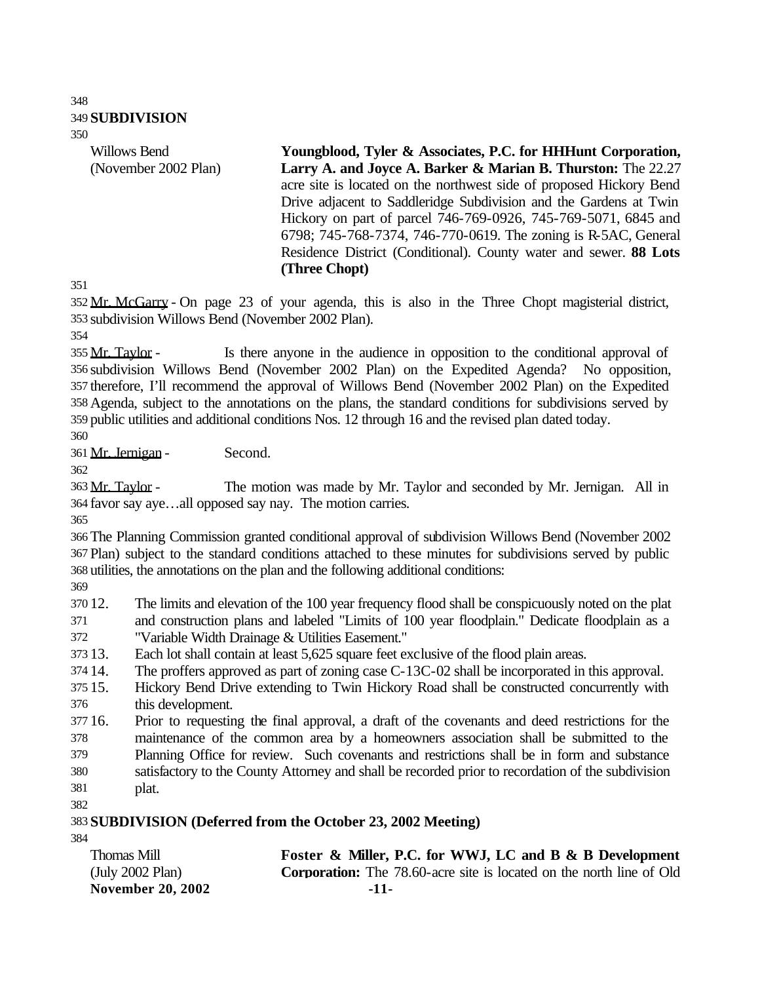#### **SUBDIVISION**

Willows Bend (November 2002 Plan)

**Youngblood, Tyler & Associates, P.C. for HHHunt Corporation,**  Larry A. and Joyce A. Barker & Marian B. Thurston: The 22.27 acre site is located on the northwest side of proposed Hickory Bend Drive adjacent to Saddleridge Subdivision and the Gardens at Twin Hickory on part of parcel 746-769-0926, 745-769-5071, 6845 and 6798; 745-768-7374, 746-770-0619. The zoning is R-5AC, General Residence District (Conditional). County water and sewer. **88 Lots (Three Chopt)**

 Mr. McGarry - On page 23 of your agenda, this is also in the Three Chopt magisterial district, subdivision Willows Bend (November 2002 Plan).

355 Mr. Taylor - Is there anyone in the audience in opposition to the conditional approval of subdivision Willows Bend (November 2002 Plan) on the Expedited Agenda? No opposition, therefore, I'll recommend the approval of Willows Bend (November 2002 Plan) on the Expedited Agenda, subject to the annotations on the plans, the standard conditions for subdivisions served by public utilities and additional conditions Nos. 12 through 16 and the revised plan dated today.

Mr. Jernigan - Second.

363 Mr. Taylor - The motion was made by Mr. Taylor and seconded by Mr. Jernigan. All in favor say aye…all opposed say nay. The motion carries.

 The Planning Commission granted conditional approval of subdivision Willows Bend (November 2002 Plan) subject to the standard conditions attached to these minutes for subdivisions served by public utilities, the annotations on the plan and the following additional conditions:

 12. The limits and elevation of the 100 year frequency flood shall be conspicuously noted on the plat and construction plans and labeled "Limits of 100 year floodplain." Dedicate floodplain as a "Variable Width Drainage & Utilities Easement."

13. Each lot shall contain at least 5,625 square feet exclusive of the flood plain areas.

14. The proffers approved as part of zoning case C-13C-02 shall be incorporated in this approval.

 15. Hickory Bend Drive extending to Twin Hickory Road shall be constructed concurrently with this development.

 16. Prior to requesting the final approval, a draft of the covenants and deed restrictions for the maintenance of the common area by a homeowners association shall be submitted to the Planning Office for review. Such covenants and restrictions shall be in form and substance

satisfactory to the County Attorney and shall be recorded prior to recordation of the subdivision

- plat.
- 

## **SUBDIVISION (Deferred from the October 23, 2002 Meeting)**

**November 20, 2002 -11-** Thomas Mill (July 2002 Plan) **Foster & Miller, P.C. for WWJ, LC and B & B Development Corporation:** The 78.60-acre site is located on the north line of Old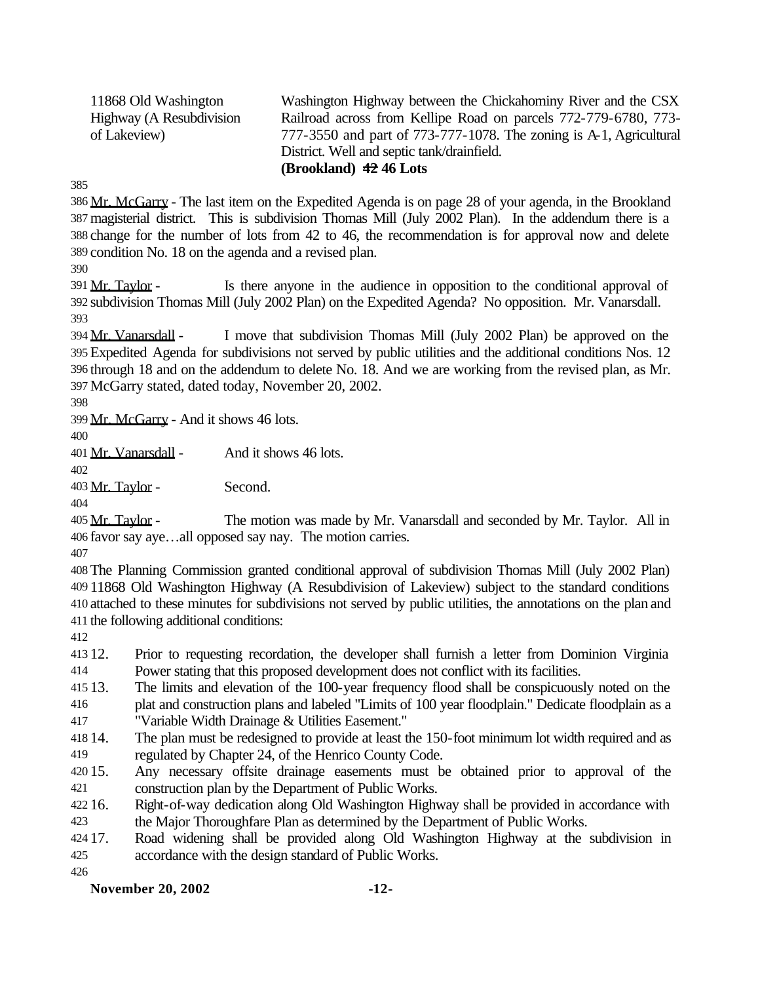11868 Old Washington Highway (A Resubdivision of Lakeview)

Washington Highway between the Chickahominy River and the CSX Railroad across from Kellipe Road on parcels 772-779-6780, 773- 777-3550 and part of 773-777-1078. The zoning is A-1, Agricultural District. Well and septic tank/drainfield. **(Brookland) 42 46 Lots**

 Mr. McGarry - The last item on the Expedited Agenda is on page 28 of your agenda, in the Brookland magisterial district. This is subdivision Thomas Mill (July 2002 Plan). In the addendum there is a change for the number of lots from 42 to 46, the recommendation is for approval now and delete condition No. 18 on the agenda and a revised plan.

391 Mr. Taylor - Is there anyone in the audience in opposition to the conditional approval of subdivision Thomas Mill (July 2002 Plan) on the Expedited Agenda? No opposition. Mr. Vanarsdall. 

 Mr. Vanarsdall - I move that subdivision Thomas Mill (July 2002 Plan) be approved on the Expedited Agenda for subdivisions not served by public utilities and the additional conditions Nos. 12 through 18 and on the addendum to delete No. 18. And we are working from the revised plan, as Mr. McGarry stated, dated today, November 20, 2002.

Mr. McGarry - And it shows 46 lots.

Mr. Vanarsdall - And it shows 46 lots.

Mr. Taylor - Second.

405 Mr. Taylor - The motion was made by Mr. Vanarsdall and seconded by Mr. Taylor. All in favor say aye…all opposed say nay. The motion carries.

 The Planning Commission granted conditional approval of subdivision Thomas Mill (July 2002 Plan) 11868 Old Washington Highway (A Resubdivision of Lakeview) subject to the standard conditions attached to these minutes for subdivisions not served by public utilities, the annotations on the plan and the following additional conditions:

 12. Prior to requesting recordation, the developer shall furnish a letter from Dominion Virginia Power stating that this proposed development does not conflict with its facilities.

13. The limits and elevation of the 100-year frequency flood shall be conspicuously noted on the

 plat and construction plans and labeled "Limits of 100 year floodplain." Dedicate floodplain as a "Variable Width Drainage & Utilities Easement."

 14. The plan must be redesigned to provide at least the 150-foot minimum lot width required and as regulated by Chapter 24, of the Henrico County Code.

 15. Any necessary offsite drainage easements must be obtained prior to approval of the construction plan by the Department of Public Works.

 16. Right-of-way dedication along Old Washington Highway shall be provided in accordance with the Major Thoroughfare Plan as determined by the Department of Public Works.

 17. Road widening shall be provided along Old Washington Highway at the subdivision in accordance with the design standard of Public Works.

#### **November 20, 2002 -12-**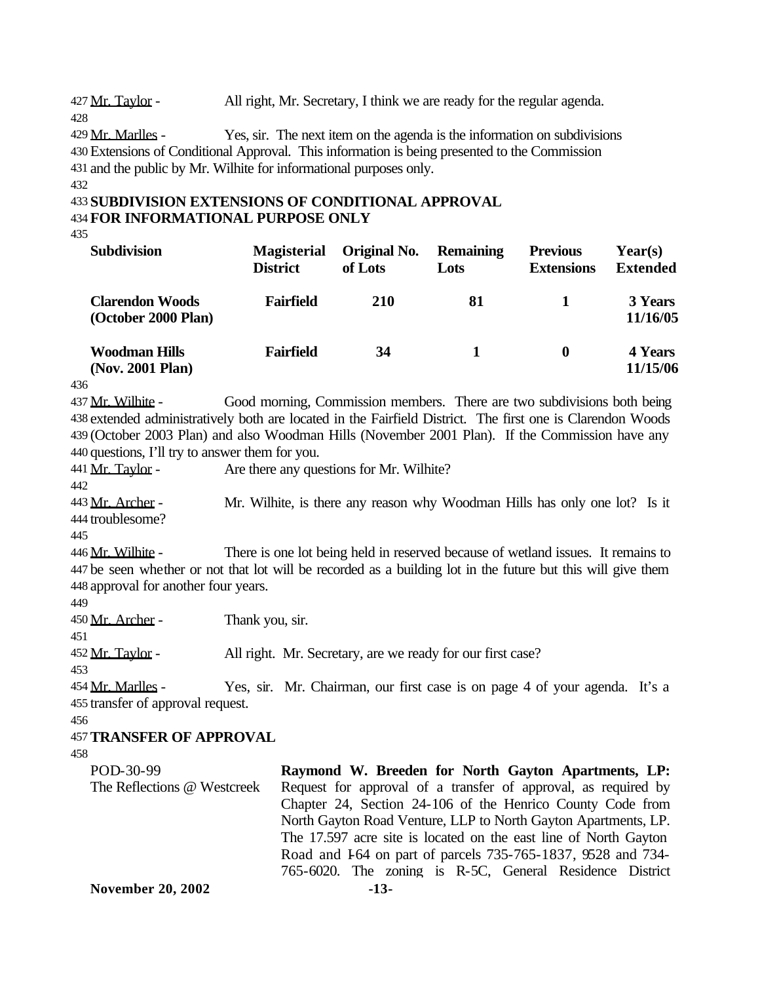427 Mr. Taylor - All right, Mr. Secretary, I think we are ready for the regular agenda.

429 Mr. Marlles - Yes, sir. The next item on the agenda is the information on subdivisions 430 Extensions of Conditional Approval. This information is being presented to the Commission 431 and the public by Mr. Wilhite for informational purposes only. 432

```
433 SUBDIVISION EXTENSIONS OF CONDITIONAL APPROVAL
434 FOR INFORMATIONAL PURPOSE ONLY
```
435

428

| <b>Subdivision</b>                            | <b>Magisterial</b><br><b>District</b> | Original No.<br>of Lots | <b>Remaining</b><br>Lots | <b>Previous</b><br><b>Extensions</b> | Year(s)<br><b>Extended</b> |
|-----------------------------------------------|---------------------------------------|-------------------------|--------------------------|--------------------------------------|----------------------------|
| <b>Clarendon Woods</b><br>(October 2000 Plan) | Fairfield                             | <b>210</b>              | 81                       |                                      | 3 Years<br>11/16/05        |
| <b>Woodman Hills</b><br>(Nov. 2001 Plan)      | Fairfield                             | 34                      |                          | 0                                    | 4 Years<br>11/15/06        |

436

437 Mr. Wilhite - Good morning, Commission members. There are two subdivisions both being extended administratively both are located in the Fairfield District. The first one is Clarendon Woods (October 2003 Plan) and also Woodman Hills (November 2001 Plan). If the Commission have any questions, I'll try to answer them for you.

441 Mr. Taylor - Are there any questions for Mr. Wilhite?

442

443 Mr. Archer - Mr. Wilhite, is there any reason why Woodman Hills has only one lot? Is it 444 troublesome?

445

446 Mr. Wilhite - There is one lot being held in reserved because of wetland issues. It remains to 447 be seen whether or not that lot will be recorded as a building lot in the future but this will give them 448 approval for another four years.

449

| 447                               |                 |                                                                            |  |
|-----------------------------------|-----------------|----------------------------------------------------------------------------|--|
| 450 Mr. Archer -                  | Thank you, sir. |                                                                            |  |
| 451                               |                 |                                                                            |  |
| 452 <u>Mr. Taylor</u> -           |                 | All right. Mr. Secretary, are we ready for our first case?                 |  |
| 453                               |                 |                                                                            |  |
| 454 <u>Mr. Marlles</u> -          |                 | Yes, sir. Mr. Chairman, our first case is on page 4 of your agenda. It's a |  |
| 455 transfer of approval request. |                 |                                                                            |  |
| 456                               |                 |                                                                            |  |
| <b>457 TRANSFER OF APPROVAL</b>   |                 |                                                                            |  |
| 458                               |                 |                                                                            |  |
| POD-30-99                         |                 | Raymond W. Breeden for North Gayton Apartments, LP:                        |  |
| The Reflections @ Westcreek       |                 | Request for approval of a transfer of approval, as required by             |  |
|                                   |                 | Chapter 24, Section 24-106 of the Henrico County Code from                 |  |
|                                   |                 | North Gayton Road Venture, LLP to North Gayton Apartments, LP.             |  |
|                                   |                 | The 17.597 acre site is located on the east line of North Gayton           |  |
|                                   |                 | Road and 164 on part of parcels 735-765-1837, 9528 and 734-                |  |
|                                   |                 | 765-6020. The zoning is R-5C, General Residence District                   |  |
| <b>November 20, 2002</b>          |                 | $-13-$                                                                     |  |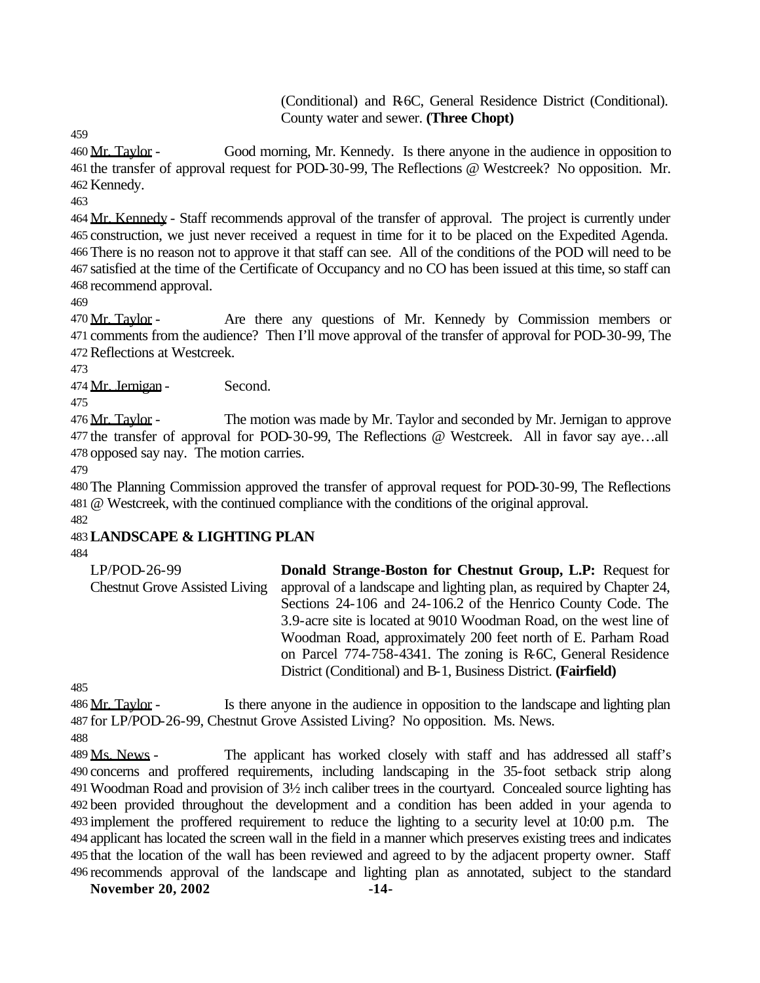(Conditional) and R-6C, General Residence District (Conditional). County water and sewer. **(Three Chopt)**

460 Mr. Taylor - Good morning, Mr. Kennedy. Is there anyone in the audience in opposition to the transfer of approval request for POD-30-99, The Reflections @ Westcreek? No opposition. Mr. Kennedy.

 Mr. Kennedy - Staff recommends approval of the transfer of approval. The project is currently under construction, we just never received a request in time for it to be placed on the Expedited Agenda. There is no reason not to approve it that staff can see. All of the conditions of the POD will need to be satisfied at the time of the Certificate of Occupancy and no CO has been issued at this time, so staff can recommend approval.

470 Mr. Taylor - Are there any questions of Mr. Kennedy by Commission members or comments from the audience? Then I'll move approval of the transfer of approval for POD-30-99, The Reflections at Westcreek.

Mr. Jernigan - Second.

476 Mr. Taylor - The motion was made by Mr. Taylor and seconded by Mr. Jernigan to approve the transfer of approval for POD-30-99, The Reflections @ Westcreek. All in favor say aye…all opposed say nay. The motion carries.

 The Planning Commission approved the transfer of approval request for POD-30-99, The Reflections @ Westcreek, with the continued compliance with the conditions of the original approval.

## **LANDSCAPE & LIGHTING PLAN**

| LP/POD-26-99                          | <b>Donald Strange-Boston for Chestnut Group, L.P:</b> Request for     |
|---------------------------------------|-----------------------------------------------------------------------|
| <b>Chestnut Grove Assisted Living</b> | approval of a landscape and lighting plan, as required by Chapter 24, |
|                                       | Sections 24-106 and 24-106.2 of the Henrico County Code. The          |
|                                       | 3.9-acre site is located at 9010 Woodman Road, on the west line of    |
|                                       | Woodman Road, approximately 200 feet north of E. Parham Road          |
|                                       | on Parcel 774-758-4341. The zoning is R-6C, General Residence         |
|                                       | District (Conditional) and B-1, Business District. (Fairfield)        |

486 Mr. Taylor - Is there anyone in the audience in opposition to the landscape and lighting plan for LP/POD-26-99, Chestnut Grove Assisted Living? No opposition. Ms. News.

489 Ms. News - The applicant has worked closely with staff and has addressed all staff's concerns and proffered requirements, including landscaping in the 35-foot setback strip along Woodman Road and provision of 3½ inch caliber trees in the courtyard. Concealed source lighting has been provided throughout the development and a condition has been added in your agenda to implement the proffered requirement to reduce the lighting to a security level at 10:00 p.m. The applicant has located the screen wall in the field in a manner which preserves existing trees and indicates that the location of the wall has been reviewed and agreed to by the adjacent property owner. Staff recommends approval of the landscape and lighting plan as annotated, subject to the standard

**November 20, 2002 -14-**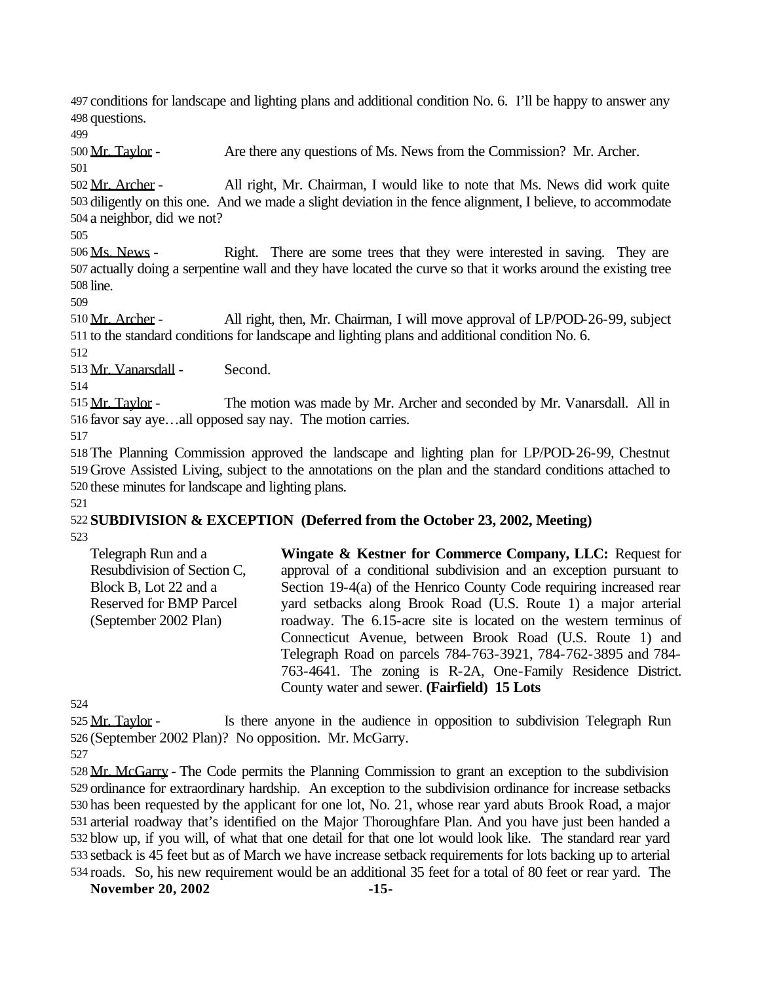conditions for landscape and lighting plans and additional condition No. 6. I'll be happy to answer any questions.

Mr. Taylor - Are there any questions of Ms. News from the Commission? Mr. Archer.

 Mr. Archer - All right, Mr. Chairman, I would like to note that Ms. News did work quite diligently on this one. And we made a slight deviation in the fence alignment, I believe, to accommodate a neighbor, did we not?

506 Ms. News - Right. There are some trees that they were interested in saving. They are actually doing a serpentine wall and they have located the curve so that it works around the existing tree line.

510 Mr. Archer - All right, then, Mr. Chairman, I will move approval of LP/POD-26-99, subject to the standard conditions for landscape and lighting plans and additional condition No. 6.

Mr. Vanarsdall - Second.

515 Mr. Taylor - The motion was made by Mr. Archer and seconded by Mr. Vanarsdall. All in favor say aye…all opposed say nay. The motion carries.

 The Planning Commission approved the landscape and lighting plan for LP/POD-26-99, Chestnut Grove Assisted Living, subject to the annotations on the plan and the standard conditions attached to these minutes for landscape and lighting plans. 

#### **SUBDIVISION & EXCEPTION (Deferred from the October 23, 2002, Meeting)**

Telegraph Run and a Resubdivision of Section C, Block B, Lot 22 and a Reserved for BMP Parcel (September 2002 Plan) **Wingate & Kestner for Commerce Company, LLC:** Request for approval of a conditional subdivision and an exception pursuant to Section 19-4(a) of the Henrico County Code requiring increased rear yard setbacks along Brook Road (U.S. Route 1) a major arterial roadway. The 6.15-acre site is located on the western terminus of Connecticut Avenue, between Brook Road (U.S. Route 1) and Telegraph Road on parcels 784-763-3921, 784-762-3895 and 784- 763-4641. The zoning is R-2A, One-Family Residence District. County water and sewer. **(Fairfield) 15 Lots**

525 Mr. Taylor - Is there anyone in the audience in opposition to subdivision Telegraph Run (September 2002 Plan)? No opposition. Mr. McGarry.

 Mr. McGarry - The Code permits the Planning Commission to grant an exception to the subdivision ordinance for extraordinary hardship. An exception to the subdivision ordinance for increase setbacks has been requested by the applicant for one lot, No. 21, whose rear yard abuts Brook Road, a major arterial roadway that's identified on the Major Thoroughfare Plan. And you have just been handed a blow up, if you will, of what that one detail for that one lot would look like. The standard rear yard setback is 45 feet but as of March we have increase setback requirements for lots backing up to arterial roads. So, his new requirement would be an additional 35 feet for a total of 80 feet or rear yard. The

**November 20, 2002 -15-**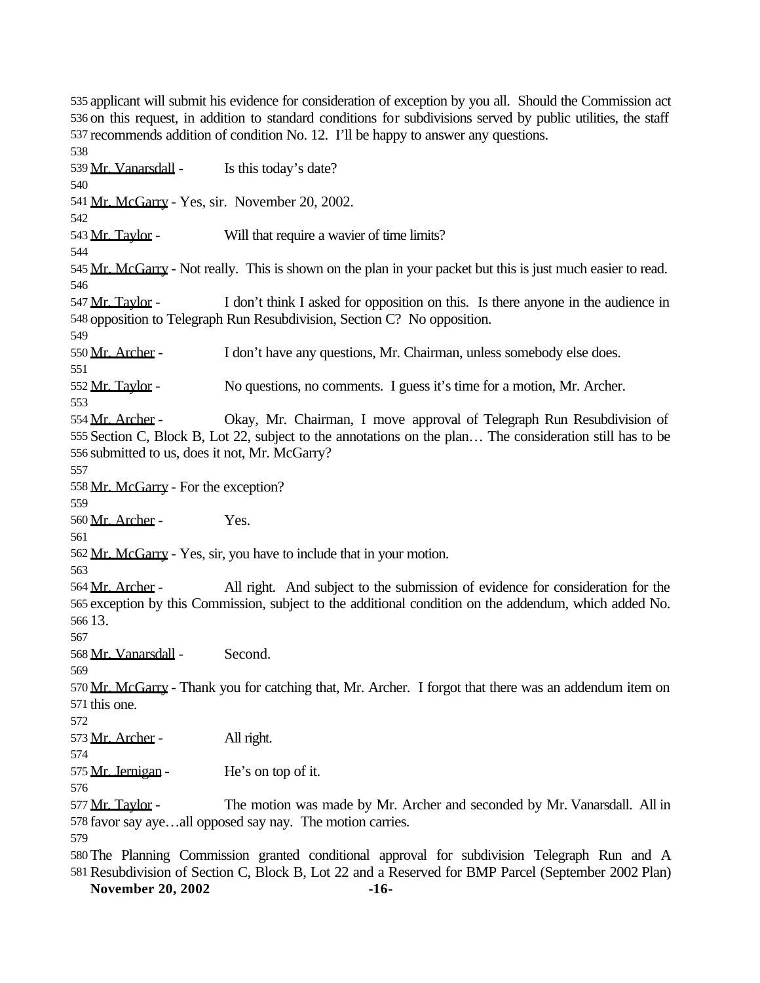applicant will submit his evidence for consideration of exception by you all. Should the Commission act on this request, in addition to standard conditions for subdivisions served by public utilities, the staff recommends addition of condition No. 12. I'll be happy to answer any questions. 539 Mr. Vanarsdall - Is this today's date? 541 Mr. McGarry - Yes, sir. November 20, 2002. 543 Mr. Taylor - Will that require a wavier of time limits? 545 Mr. McGarry - Not really. This is shown on the plan in your packet but this is just much easier to read. Mr. Taylor - I don't think I asked for opposition on this. Is there anyone in the audience in opposition to Telegraph Run Resubdivision, Section C? No opposition. Mr. Archer - I don't have any questions, Mr. Chairman, unless somebody else does. Mr. Taylor - No questions, no comments. I guess it's time for a motion, Mr. Archer. 554 Mr. Archer - Okay, Mr. Chairman, I move approval of Telegraph Run Resubdivision of Section C, Block B, Lot 22, subject to the annotations on the plan… The consideration still has to be submitted to us, does it not, Mr. McGarry? Mr. McGarry - For the exception? Mr. Archer - Yes. Mr. McGarry - Yes, sir, you have to include that in your motion. 564 Mr. Archer - All right. And subject to the submission of evidence for consideration for the exception by this Commission, subject to the additional condition on the addendum, which added No. 13. Mr. Vanarsdall - Second. 570 Mr. McGarry - Thank you for catching that, Mr. Archer. I forgot that there was an addendum item on this one. 573 Mr. Archer - All right. 575 Mr. Jernigan - He's on top of it. 577 Mr. Taylor - The motion was made by Mr. Archer and seconded by Mr. Vanarsdall. All in favor say aye…all opposed say nay. The motion carries. The Planning Commission granted conditional approval for subdivision Telegraph Run and A Resubdivision of Section C, Block B, Lot 22 and a Reserved for BMP Parcel (September 2002 Plan)

**November 20, 2002 -16-**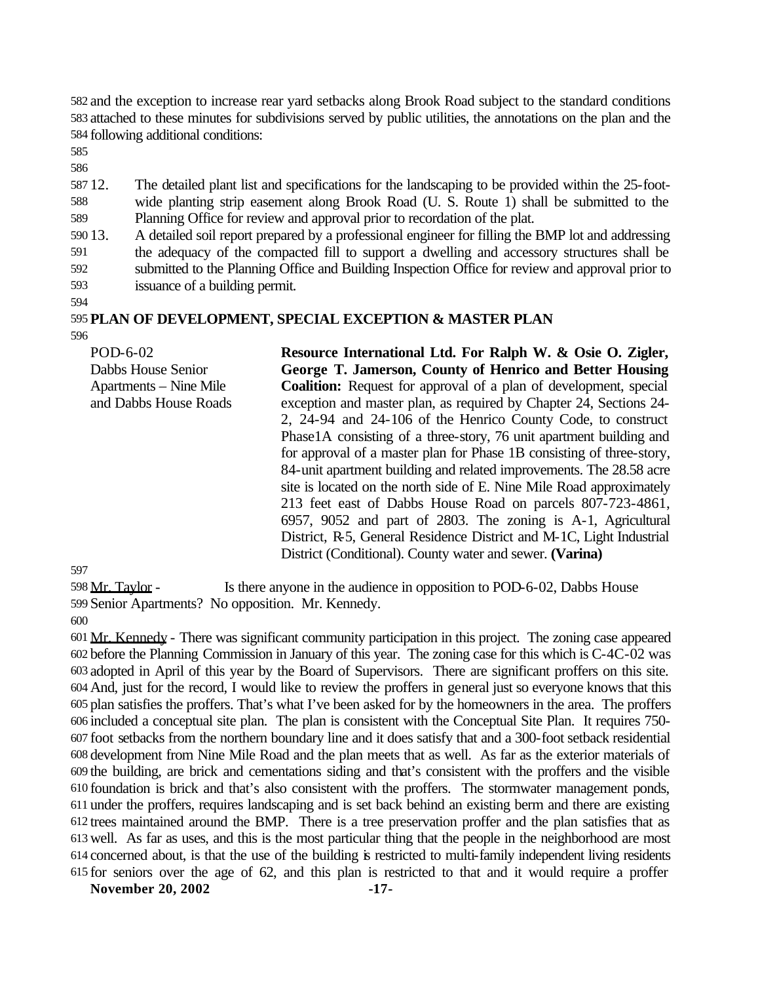and the exception to increase rear yard setbacks along Brook Road subject to the standard conditions attached to these minutes for subdivisions served by public utilities, the annotations on the plan and the following additional conditions:

 12. The detailed plant list and specifications for the landscaping to be provided within the 25-foot- wide planting strip easement along Brook Road (U. S. Route 1) shall be submitted to the Planning Office for review and approval prior to recordation of the plat.

13. A detailed soil report prepared by a professional engineer for filling the BMP lot and addressing

 the adequacy of the compacted fill to support a dwelling and accessory structures shall be submitted to the Planning Office and Building Inspection Office for review and approval prior to

issuance of a building permit.

#### **PLAN OF DEVELOPMENT, SPECIAL EXCEPTION & MASTER PLAN**

POD-6-02 Dabbs House Senior Apartments – Nine Mile and Dabbs House Roads **Resource International Ltd. For Ralph W. & Osie O. Zigler, George T. Jamerson, County of Henrico and Better Housing Coalition:** Request for approval of a plan of development, special exception and master plan, as required by Chapter 24, Sections 24- 2, 24-94 and 24-106 of the Henrico County Code, to construct Phase1A consisting of a three-story, 76 unit apartment building and for approval of a master plan for Phase 1B consisting of three-story, 84-unit apartment building and related improvements. The 28.58 acre site is located on the north side of E. Nine Mile Road approximately 213 feet east of Dabbs House Road on parcels 807-723-4861, 6957, 9052 and part of 2803. The zoning is A-1, Agricultural District, R-5, General Residence District and M-1C, Light Industrial District (Conditional). County water and sewer. **(Varina)**

 Mr. Taylor - Is there anyone in the audience in opposition to POD-6-02, Dabbs House Senior Apartments? No opposition. Mr. Kennedy.

 Mr. Kennedy - There was significant community participation in this project. The zoning case appeared before the Planning Commission in January of this year. The zoning case for this which is C-4C-02 was adopted in April of this year by the Board of Supervisors. There are significant proffers on this site. And, just for the record, I would like to review the proffers in general just so everyone knows that this plan satisfies the proffers. That's what I've been asked for by the homeowners in the area. The proffers included a conceptual site plan. The plan is consistent with the Conceptual Site Plan. It requires 750- foot setbacks from the northern boundary line and it does satisfy that and a 300-foot setback residential development from Nine Mile Road and the plan meets that as well. As far as the exterior materials of the building, are brick and cementations siding and that's consistent with the proffers and the visible foundation is brick and that's also consistent with the proffers. The stormwater management ponds, under the proffers, requires landscaping and is set back behind an existing berm and there are existing trees maintained around the BMP. There is a tree preservation proffer and the plan satisfies that as well. As far as uses, and this is the most particular thing that the people in the neighborhood are most concerned about, is that the use of the building is restricted to multi-family independent living residents for seniors over the age of 62, and this plan is restricted to that and it would require a proffer

**November 20, 2002 -17-**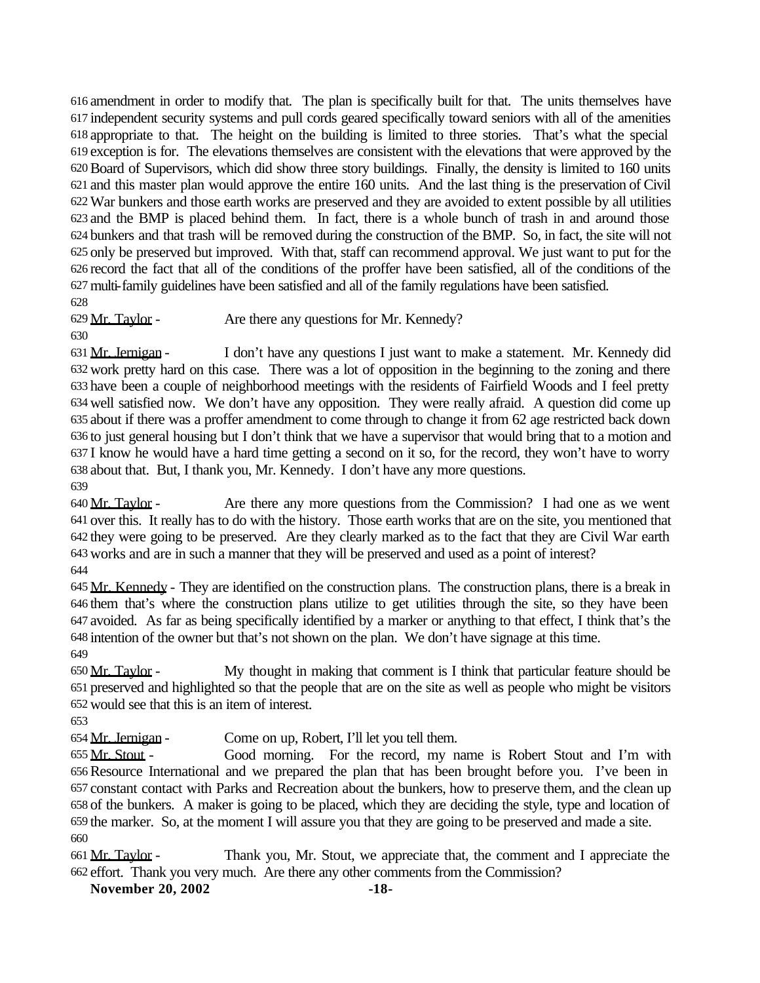amendment in order to modify that. The plan is specifically built for that. The units themselves have independent security systems and pull cords geared specifically toward seniors with all of the amenities appropriate to that. The height on the building is limited to three stories. That's what the special exception is for. The elevations themselves are consistent with the elevations that were approved by the Board of Supervisors, which did show three story buildings. Finally, the density is limited to 160 units and this master plan would approve the entire 160 units. And the last thing is the preservation of Civil War bunkers and those earth works are preserved and they are avoided to extent possible by all utilities and the BMP is placed behind them. In fact, there is a whole bunch of trash in and around those bunkers and that trash will be removed during the construction of the BMP. So, in fact, the site will not only be preserved but improved. With that, staff can recommend approval. We just want to put for the record the fact that all of the conditions of the proffer have been satisfied, all of the conditions of the multi-family guidelines have been satisfied and all of the family regulations have been satisfied. 

Mr. Taylor - Are there any questions for Mr. Kennedy?

631 Mr. Jernigan - I don't have any questions I just want to make a statement. Mr. Kennedy did work pretty hard on this case. There was a lot of opposition in the beginning to the zoning and there have been a couple of neighborhood meetings with the residents of Fairfield Woods and I feel pretty well satisfied now. We don't have any opposition. They were really afraid. A question did come up about if there was a proffer amendment to come through to change it from 62 age restricted back down to just general housing but I don't think that we have a supervisor that would bring that to a motion and I know he would have a hard time getting a second on it so, for the record, they won't have to worry about that. But, I thank you, Mr. Kennedy. I don't have any more questions. 

 Mr. Taylor - Are there any more questions from the Commission? I had one as we went over this. It really has to do with the history. Those earth works that are on the site, you mentioned that they were going to be preserved. Are they clearly marked as to the fact that they are Civil War earth works and are in such a manner that they will be preserved and used as a point of interest? 

645 Mr. Kennedy - They are identified on the construction plans. The construction plans, there is a break in them that's where the construction plans utilize to get utilities through the site, so they have been avoided. As far as being specifically identified by a marker or anything to that effect, I think that's the intention of the owner but that's not shown on the plan. We don't have signage at this time. 

 Mr. Taylor - My thought in making that comment is I think that particular feature should be preserved and highlighted so that the people that are on the site as well as people who might be visitors would see that this is an item of interest.

Mr. Jernigan - Come on up, Robert, I'll let you tell them.

 Mr. Stout - Good morning. For the record, my name is Robert Stout and I'm with Resource International and we prepared the plan that has been brought before you. I've been in constant contact with Parks and Recreation about the bunkers, how to preserve them, and the clean up of the bunkers. A maker is going to be placed, which they are deciding the style, type and location of the marker. So, at the moment I will assure you that they are going to be preserved and made a site. 

 Mr. Taylor - Thank you, Mr. Stout, we appreciate that, the comment and I appreciate the effort. Thank you very much. Are there any other comments from the Commission?

**November 20, 2002 -18-**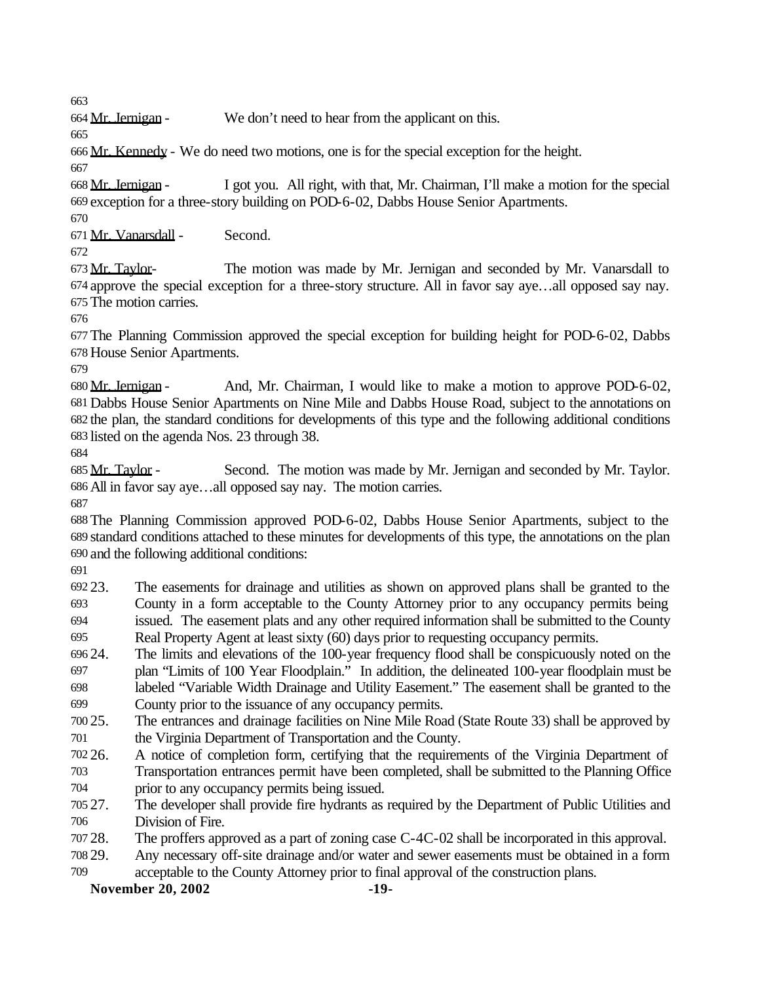Mr. Jernigan - We don't need to hear from the applicant on this.

Mr. Kennedy - We do need two motions, one is for the special exception for the height.

 Mr. Jernigan - I got you. All right, with that, Mr. Chairman, I'll make a motion for the special exception for a three-story building on POD-6-02, Dabbs House Senior Apartments.

Mr. Vanarsdall - Second.

673 Mr. Taylor- The motion was made by Mr. Jernigan and seconded by Mr. Vanarsdall to approve the special exception for a three-story structure. All in favor say aye…all opposed say nay. The motion carries.

 The Planning Commission approved the special exception for building height for POD-6-02, Dabbs House Senior Apartments.

 Mr. Jernigan - And, Mr. Chairman, I would like to make a motion to approve POD-6-02, Dabbs House Senior Apartments on Nine Mile and Dabbs House Road, subject to the annotations on the plan, the standard conditions for developments of this type and the following additional conditions listed on the agenda Nos. 23 through 38.

685 Mr. Taylor - Second. The motion was made by Mr. Jernigan and seconded by Mr. Taylor. All in favor say aye…all opposed say nay. The motion carries.

 The Planning Commission approved POD-6-02, Dabbs House Senior Apartments, subject to the standard conditions attached to these minutes for developments of this type, the annotations on the plan and the following additional conditions:

 23. The easements for drainage and utilities as shown on approved plans shall be granted to the County in a form acceptable to the County Attorney prior to any occupancy permits being issued. The easement plats and any other required information shall be submitted to the County Real Property Agent at least sixty (60) days prior to requesting occupancy permits.

- 24. The limits and elevations of the 100-year frequency flood shall be conspicuously noted on the plan "Limits of 100 Year Floodplain." In addition, the delineated 100-year floodplain must be labeled "Variable Width Drainage and Utility Easement." The easement shall be granted to the County prior to the issuance of any occupancy permits.
- 25. The entrances and drainage facilities on Nine Mile Road (State Route 33) shall be approved by the Virginia Department of Transportation and the County.
- 26. A notice of completion form, certifying that the requirements of the Virginia Department of

 Transportation entrances permit have been completed, shall be submitted to the Planning Office prior to any occupancy permits being issued.

 27. The developer shall provide fire hydrants as required by the Department of Public Utilities and Division of Fire.

- 28. The proffers approved as a part of zoning case C-4C-02 shall be incorporated in this approval.
- 29. Any necessary off-site drainage and/or water and sewer easements must be obtained in a form
- acceptable to the County Attorney prior to final approval of the construction plans.

**November 20, 2002 -19-**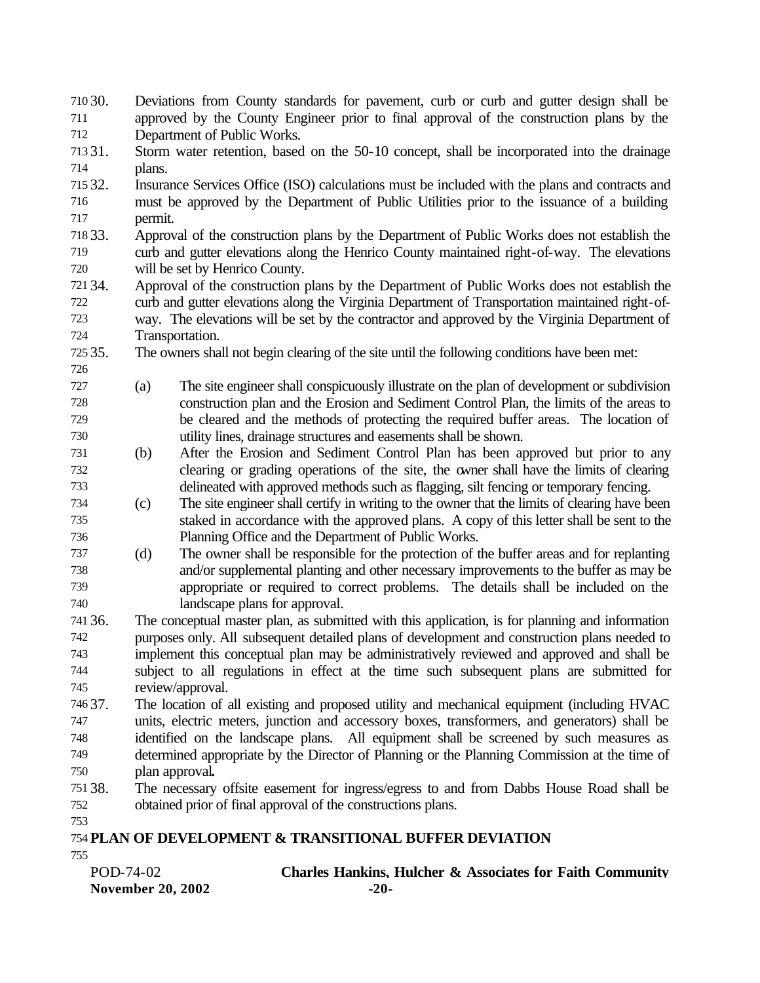| 710 30.   | Deviations from County standards for pavement, curb or curb and gutter design shall be                                                           |
|-----------|--------------------------------------------------------------------------------------------------------------------------------------------------|
| 711       | approved by the County Engineer prior to final approval of the construction plans by the                                                         |
| 712       | Department of Public Works.                                                                                                                      |
| $-1 - 24$ | $\overline{z}$ $\overline{z}$<br>the contract of the contract of the contract of the contract of the contract of the contract of the contract of |

- 31. Storm water retention, based on the 50-10 concept, shall be incorporated into the drainage plans.
- 32. Insurance Services Office (ISO) calculations must be included with the plans and contracts and must be approved by the Department of Public Utilities prior to the issuance of a building permit.
- 33. Approval of the construction plans by the Department of Public Works does not establish the curb and gutter elevations along the Henrico County maintained right-of-way. The elevations will be set by Henrico County.
- 34. Approval of the construction plans by the Department of Public Works does not establish the curb and gutter elevations along the Virginia Department of Transportation maintained right-of- way. The elevations will be set by the contractor and approved by the Virginia Department of Transportation.
- 35. The owners shall not begin clearing of the site until the following conditions have been met:

- (a) The site engineer shall conspicuously illustrate on the plan of development or subdivision construction plan and the Erosion and Sediment Control Plan, the limits of the areas to be cleared and the methods of protecting the required buffer areas. The location of utility lines, drainage structures and easements shall be shown.
- (b) After the Erosion and Sediment Control Plan has been approved but prior to any clearing or grading operations of the site, the owner shall have the limits of clearing delineated with approved methods such as flagging, silt fencing or temporary fencing.

 (c) The site engineer shall certify in writing to the owner that the limits of clearing have been staked in accordance with the approved plans. A copy of this letter shall be sent to the Planning Office and the Department of Public Works.

- (d) The owner shall be responsible for the protection of the buffer areas and for replanting and/or supplemental planting and other necessary improvements to the buffer as may be appropriate or required to correct problems. The details shall be included on the landscape plans for approval.
- 36. The conceptual master plan, as submitted with this application, is for planning and information purposes only. All subsequent detailed plans of development and construction plans needed to implement this conceptual plan may be administratively reviewed and approved and shall be subject to all regulations in effect at the time such subsequent plans are submitted for review/approval.
- 37. The location of all existing and proposed utility and mechanical equipment (including HVAC units, electric meters, junction and accessory boxes, transformers, and generators) shall be identified on the landscape plans. All equipment shall be screened by such measures as determined appropriate by the Director of Planning or the Planning Commission at the time of plan approval**.**
- 38. The necessary offsite easement for ingress/egress to and from Dabbs House Road shall be obtained prior of final approval of the constructions plans.
- **PLAN OF DEVELOPMENT & TRANSITIONAL BUFFER DEVIATION**
- **November 20, 2002 -20-** POD-74-02 **Charles Hankins, Hulcher & Associates for Faith Community**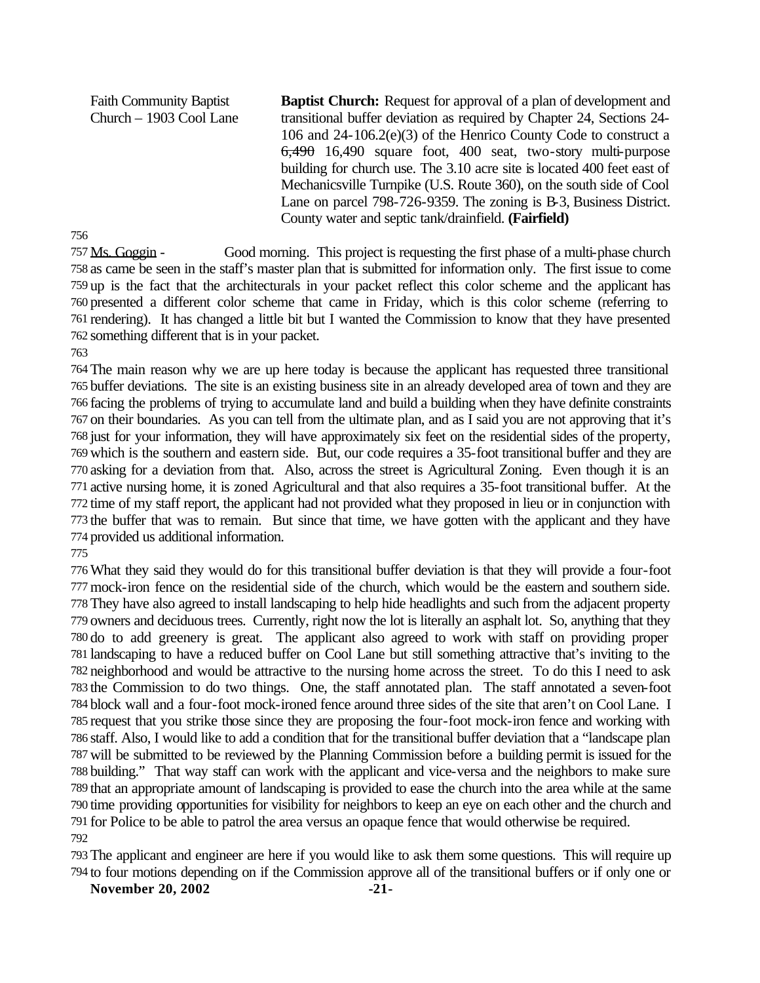Faith Community Baptist Church – 1903 Cool Lane **Baptist Church:** Request for approval of a plan of development and transitional buffer deviation as required by Chapter 24, Sections 24- 106 and 24-106.2(e)(3) of the Henrico County Code to construct a 6,490 16,490 square foot, 400 seat, two-story multi-purpose building for church use. The 3.10 acre site is located 400 feet east of Mechanicsville Turnpike (U.S. Route 360), on the south side of Cool Lane on parcel 798-726-9359. The zoning is B-3, Business District. County water and septic tank/drainfield. **(Fairfield)**

 Ms. Goggin - Good morning. This project is requesting the first phase of a multi-phase church as came be seen in the staff's master plan that is submitted for information only. The first issue to come up is the fact that the architecturals in your packet reflect this color scheme and the applicant has presented a different color scheme that came in Friday, which is this color scheme (referring to rendering). It has changed a little bit but I wanted the Commission to know that they have presented something different that is in your packet.

 The main reason why we are up here today is because the applicant has requested three transitional buffer deviations. The site is an existing business site in an already developed area of town and they are facing the problems of trying to accumulate land and build a building when they have definite constraints on their boundaries. As you can tell from the ultimate plan, and as I said you are not approving that it's just for your information, they will have approximately six feet on the residential sides of the property, which is the southern and eastern side. But, our code requires a 35-foot transitional buffer and they are asking for a deviation from that. Also, across the street is Agricultural Zoning. Even though it is an active nursing home, it is zoned Agricultural and that also requires a 35-foot transitional buffer. At the time of my staff report, the applicant had not provided what they proposed in lieu or in conjunction with the buffer that was to remain. But since that time, we have gotten with the applicant and they have provided us additional information.

What they said they would do for this transitional buffer deviation is that they will provide a four-foot mock-iron fence on the residential side of the church, which would be the eastern and southern side. They have also agreed to install landscaping to help hide headlights and such from the adjacent property owners and deciduous trees. Currently, right now the lot is literally an asphalt lot. So, anything that they do to add greenery is great. The applicant also agreed to work with staff on providing proper landscaping to have a reduced buffer on Cool Lane but still something attractive that's inviting to the neighborhood and would be attractive to the nursing home across the street. To do this I need to ask the Commission to do two things. One, the staff annotated plan. The staff annotated a seven-foot block wall and a four-foot mock-ironed fence around three sides of the site that aren't on Cool Lane. I request that you strike those since they are proposing the four-foot mock-iron fence and working with staff. Also, I would like to add a condition that for the transitional buffer deviation that a "landscape plan will be submitted to be reviewed by the Planning Commission before a building permit is issued for the building." That way staff can work with the applicant and vice-versa and the neighbors to make sure that an appropriate amount of landscaping is provided to ease the church into the area while at the same time providing opportunities for visibility for neighbors to keep an eye on each other and the church and for Police to be able to patrol the area versus an opaque fence that would otherwise be required. 

 The applicant and engineer are here if you would like to ask them some questions. This will require up to four motions depending on if the Commission approve all of the transitional buffers or if only one or

**November 20, 2002 -21-**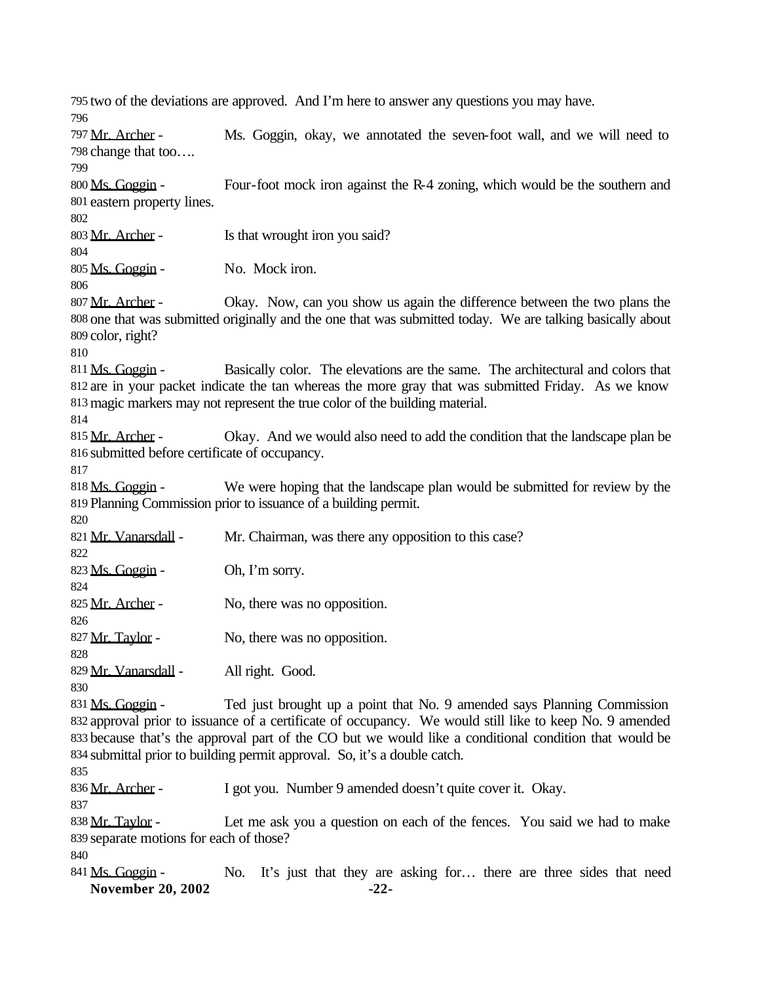two of the deviations are approved. And I'm here to answer any questions you may have. 797 Mr. Archer - Ms. Goggin, okay, we annotated the seven-foot wall, and we will need to change that too…. 800 Ms. Goggin - Four-foot mock iron against the R-4 zoning, which would be the southern and eastern property lines. 803 Mr. Archer - Is that wrought iron you said? Ms. Goggin - No. Mock iron. 807 Mr. Archer - Okay. Now, can you show us again the difference between the two plans the one that was submitted originally and the one that was submitted today. We are talking basically about color, right? 811 Ms. Goggin - Basically color. The elevations are the same. The architectural and colors that are in your packet indicate the tan whereas the more gray that was submitted Friday. As we know magic markers may not represent the true color of the building material. 815 Mr. Archer - Okay. And we would also need to add the condition that the landscape plan be submitted before certificate of occupancy. 818 Ms. Goggin - We were hoping that the landscape plan would be submitted for review by the Planning Commission prior to issuance of a building permit. 821 Mr. Vanarsdall - Mr. Chairman, was there any opposition to this case? 823  $\overline{Ms}$ . Goggin - Oh, I'm sorry. 825 Mr. Archer - No, there was no opposition. 827 Mr. Taylor - No, there was no opposition. Mr. Vanarsdall - All right. Good. 831 Ms. Goggin - Ted just brought up a point that No. 9 amended says Planning Commission approval prior to issuance of a certificate of occupancy. We would still like to keep No. 9 amended because that's the approval part of the CO but we would like a conditional condition that would be submittal prior to building permit approval. So, it's a double catch. 836 Mr. Archer - I got you. Number 9 amended doesn't quite cover it. Okay. 838 Mr. Taylor - Let me ask you a question on each of the fences. You said we had to make separate motions for each of those?

- 
- **November 20, 2002 -22-** 841 Ms. Goggin - No. It's just that they are asking for... there are three sides that need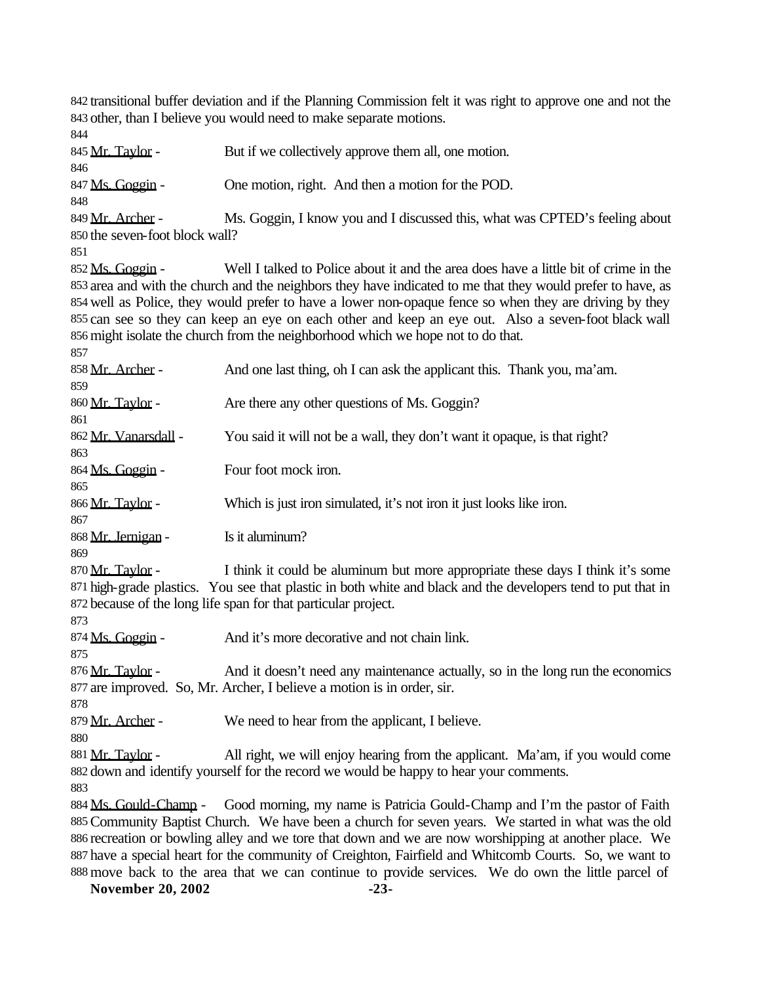transitional buffer deviation and if the Planning Commission felt it was right to approve one and not the other, than I believe you would need to make separate motions.

 845 Mr. Taylor - But if we collectively approve them all, one motion. 847 Ms. Goggin - One motion, right. And then a motion for the POD. 849 Mr. Archer - Ms. Goggin, I know you and I discussed this, what was CPTED's feeling about the seven-foot block wall? Ms. Goggin - Well I talked to Police about it and the area does have a little bit of crime in the area and with the church and the neighbors they have indicated to me that they would prefer to have, as well as Police, they would prefer to have a lower non-opaque fence so when they are driving by they can see so they can keep an eye on each other and keep an eye out. Also a seven-foot black wall might isolate the church from the neighborhood which we hope not to do that. 858 Mr. Archer - And one last thing, oh I can ask the applicant this. Thank you, ma'am. 860 Mr. Taylor - Are there any other questions of Ms. Goggin? 862 Mr. Vanarsdall - You said it will not be a wall, they don't want it opaque, is that right? 864 Ms. Goggin - Four foot mock iron. 866 Mr. Taylor - Which is just iron simulated, it's not iron it just looks like iron. 868 Mr. Jernigan - Is it aluminum? 870 Mr. Taylor - I think it could be aluminum but more appropriate these days I think it's some high-grade plastics. You see that plastic in both white and black and the developers tend to put that in because of the long life span for that particular project. 874 Ms. Goggin - And it's more decorative and not chain link. 876 Mr. Taylor - And it doesn't need any maintenance actually, so in the long run the economics are improved. So, Mr. Archer, I believe a motion is in order, sir. 879 Mr. Archer - We need to hear from the applicant, I believe. 881 Mr. Taylor - All right, we will enjoy hearing from the applicant. Ma'am, if you would come down and identify yourself for the record we would be happy to hear your comments. 884 Ms. Gould-Champ - Good morning, my name is Patricia Gould-Champ and I'm the pastor of Faith Community Baptist Church. We have been a church for seven years. We started in what was the old recreation or bowling alley and we tore that down and we are now worshipping at another place. We have a special heart for the community of Creighton, Fairfield and Whitcomb Courts. So, we want to move back to the area that we can continue to provide services. We do own the little parcel of

**November 20, 2002 -23-**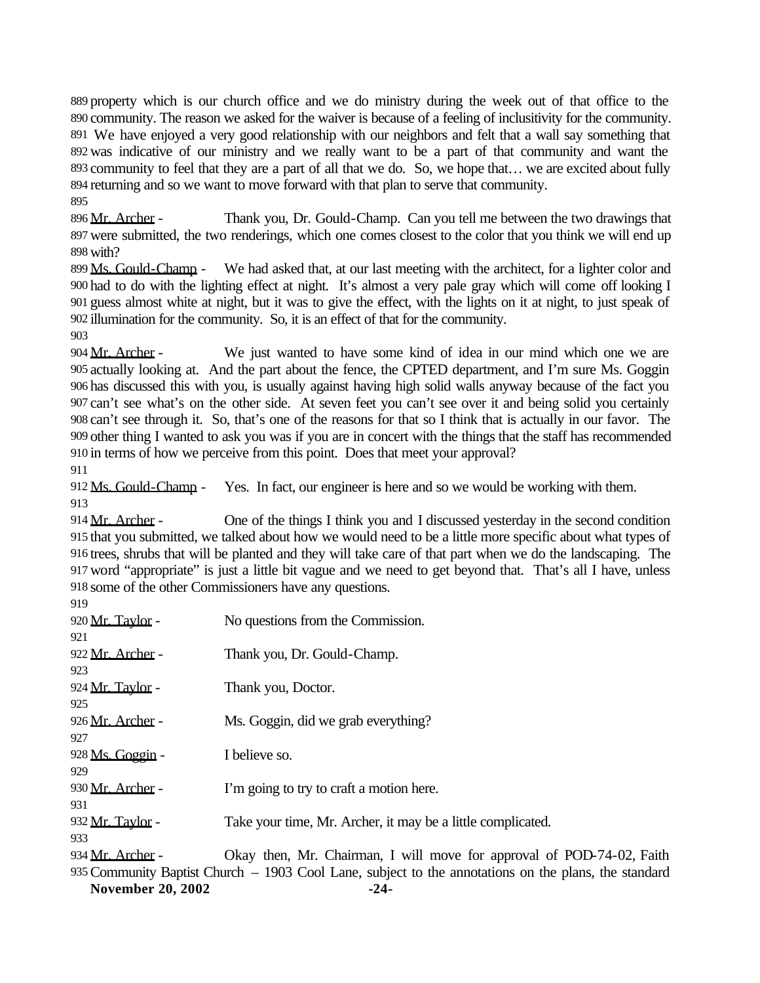property which is our church office and we do ministry during the week out of that office to the community. The reason we asked for the waiver is because of a feeling of inclusitivity for the community. We have enjoyed a very good relationship with our neighbors and felt that a wall say something that was indicative of our ministry and we really want to be a part of that community and want the community to feel that they are a part of all that we do. So, we hope that… we are excited about fully returning and so we want to move forward with that plan to serve that community. 

896 Mr. Archer - Thank you, Dr. Gould-Champ. Can you tell me between the two drawings that were submitted, the two renderings, which one comes closest to the color that you think we will end up with?

899 Ms. Gould-Champ - We had asked that, at our last meeting with the architect, for a lighter color and had to do with the lighting effect at night. It's almost a very pale gray which will come off looking I guess almost white at night, but it was to give the effect, with the lights on it at night, to just speak of illumination for the community. So, it is an effect of that for the community.

904 Mr. Archer - We just wanted to have some kind of idea in our mind which one we are actually looking at. And the part about the fence, the CPTED department, and I'm sure Ms. Goggin has discussed this with you, is usually against having high solid walls anyway because of the fact you can't see what's on the other side. At seven feet you can't see over it and being solid you certainly can't see through it. So, that's one of the reasons for that so I think that is actually in our favor. The other thing I wanted to ask you was if you are in concert with the things that the staff has recommended in terms of how we perceive from this point. Does that meet your approval?

 Ms. Gould-Champ - Yes. In fact, our engineer is here and so we would be working with them. 

 Mr. Archer - One of the things I think you and I discussed yesterday in the second condition that you submitted, we talked about how we would need to be a little more specific about what types of trees, shrubs that will be planted and they will take care of that part when we do the landscaping. The word "appropriate" is just a little bit vague and we need to get beyond that. That's all I have, unless some of the other Commissioners have any questions. 

| 920 Mr. Taylor -        | No questions from the Commission.                                                                    |
|-------------------------|------------------------------------------------------------------------------------------------------|
| 921                     |                                                                                                      |
| 922 Mr. Archer -        | Thank you, Dr. Gould-Champ.                                                                          |
| 923.                    |                                                                                                      |
| 924 <u>Mr. Tavlor</u> - | Thank you, Doctor.                                                                                   |
| 925.                    |                                                                                                      |
| 926 Mr. Archer -<br>927 | Ms. Goggin, did we grab everything?                                                                  |
| 928 <u>Ms. Goggin</u> - | I believe so.                                                                                        |
| 929                     |                                                                                                      |
| 930 Mr. Archer -        | I'm going to try to craft a motion here.                                                             |
| 931                     |                                                                                                      |
| 932 Mr. Tavlor -        | Take your time, Mr. Archer, it may be a little complicated.                                          |
| 933.                    |                                                                                                      |
| 934 <u>Mr. Archer</u> - | Okay then, Mr. Chairman, I will move for approval of POD-74-02, Faith                                |
|                         | 935 Community Baptist Church – 1903 Cool Lane, subject to the annotations on the plans, the standard |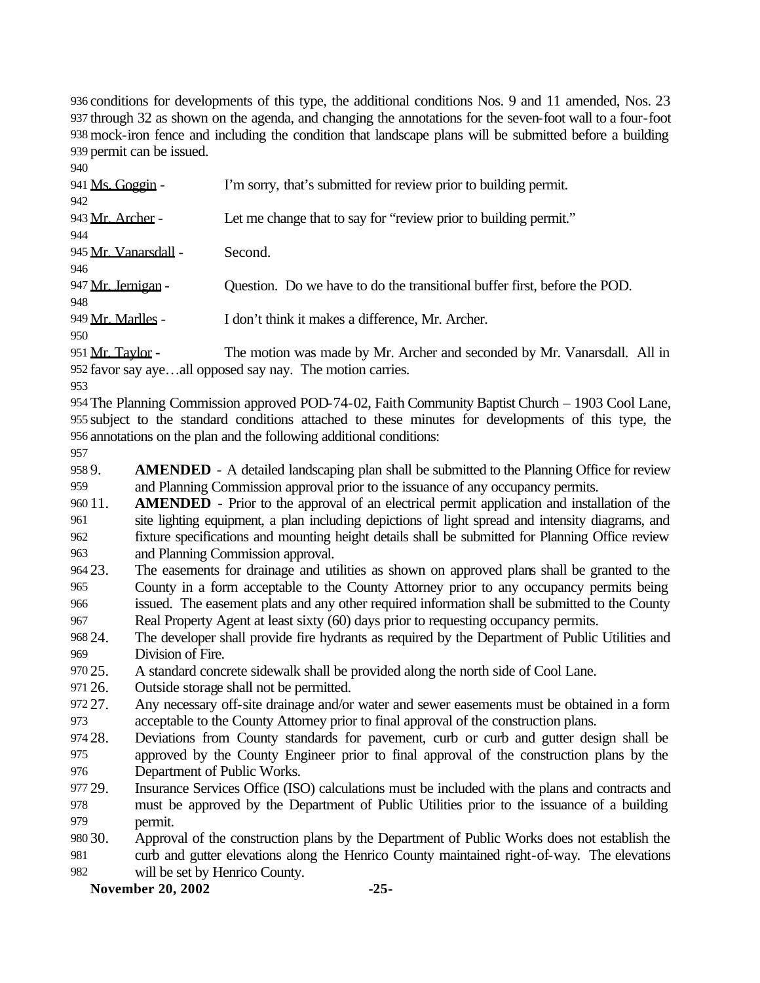conditions for developments of this type, the additional conditions Nos. 9 and 11 amended, Nos. 23 through 32 as shown on the agenda, and changing the annotations for the seven-foot wall to a four-foot mock-iron fence and including the condition that landscape plans will be submitted before a building permit can be issued.

| 940                  |                                                                           |
|----------------------|---------------------------------------------------------------------------|
| 941 Ms. Goggin -     | I'm sorry, that's submitted for review prior to building permit.          |
| 942                  |                                                                           |
| 943 Mr. Archer -     | Let me change that to say for "review prior to building permit."          |
| 944                  |                                                                           |
| 945 Mr. Vanarsdall - | Second.                                                                   |
| 946                  |                                                                           |
| 947 Mr. Jernigan -   | Question. Do we have to do the transitional buffer first, before the POD. |
| 948                  |                                                                           |
| 949 Mr. Marlles -    | I don't think it makes a difference, Mr. Archer.                          |
| 950                  |                                                                           |
| $951$ Mr. Taylor     | The motion was made by Mr. Archer and seconded by Mr. Vanarsdall All in   |

The motion was made by Mr. Archer and seconded by Mr. Vanarsdall. All in favor say aye…all opposed say nay. The motion carries. 

 The Planning Commission approved POD-74-02, Faith Community Baptist Church – 1903 Cool Lane, subject to the standard conditions attached to these minutes for developments of this type, the annotations on the plan and the following additional conditions:

 9. **AMENDED** - A detailed landscaping plan shall be submitted to the Planning Office for review and Planning Commission approval prior to the issuance of any occupancy permits.

 11. **AMENDED** - Prior to the approval of an electrical permit application and installation of the site lighting equipment, a plan including depictions of light spread and intensity diagrams, and fixture specifications and mounting height details shall be submitted for Planning Office review and Planning Commission approval.

- 23. The easements for drainage and utilities as shown on approved plans shall be granted to the County in a form acceptable to the County Attorney prior to any occupancy permits being issued. The easement plats and any other required information shall be submitted to the County Real Property Agent at least sixty (60) days prior to requesting occupancy permits.
- 24. The developer shall provide fire hydrants as required by the Department of Public Utilities and Division of Fire.
- 25. A standard concrete sidewalk shall be provided along the north side of Cool Lane.

26. Outside storage shall not be permitted.

- 27. Any necessary off-site drainage and/or water and sewer easements must be obtained in a form acceptable to the County Attorney prior to final approval of the construction plans.
- 28. Deviations from County standards for pavement, curb or curb and gutter design shall be approved by the County Engineer prior to final approval of the construction plans by the Department of Public Works.
- 29. Insurance Services Office (ISO) calculations must be included with the plans and contracts and must be approved by the Department of Public Utilities prior to the issuance of a building permit.
- 30. Approval of the construction plans by the Department of Public Works does not establish the curb and gutter elevations along the Henrico County maintained right-of-way. The elevations
- will be set by Henrico County.
	- **November 20, 2002 -25-**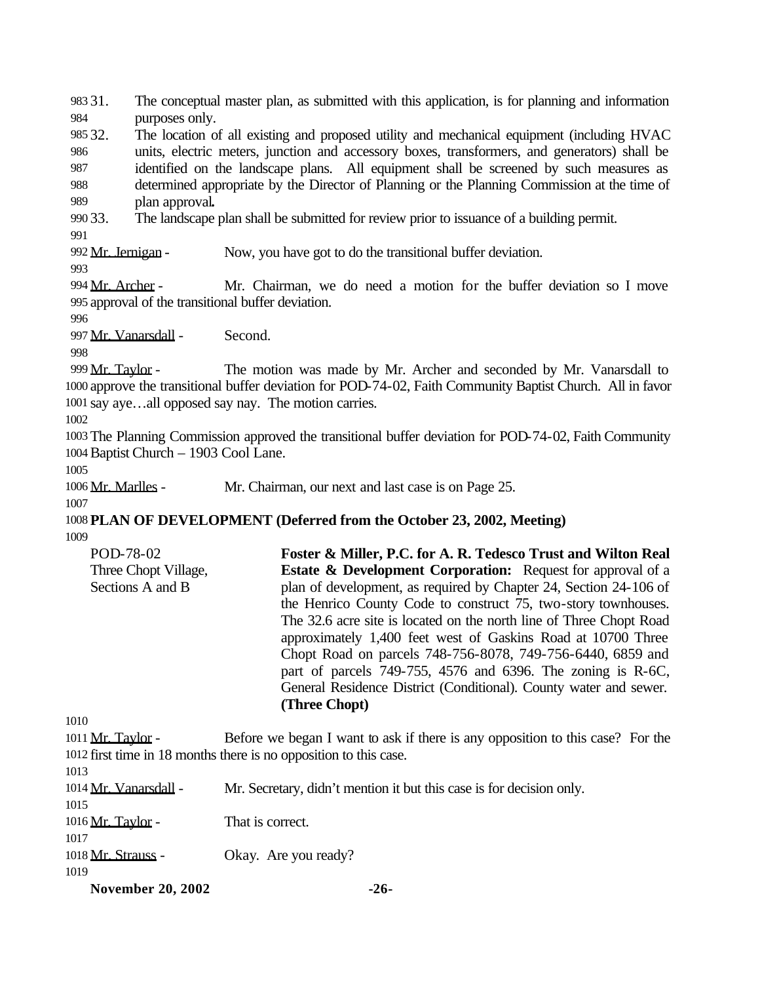31. The conceptual master plan, as submitted with this application, is for planning and information purposes only. 32. The location of all existing and proposed utility and mechanical equipment (including HVAC

 units, electric meters, junction and accessory boxes, transformers, and generators) shall be identified on the landscape plans. All equipment shall be screened by such measures as determined appropriate by the Director of Planning or the Planning Commission at the time of plan approval**.**

33. The landscape plan shall be submitted for review prior to issuance of a building permit.

992 Mr. Jernigan - Now, you have got to do the transitional buffer deviation.

 Mr. Archer - Mr. Chairman, we do need a motion for the buffer deviation so I move approval of the transitional buffer deviation.

Mr. Vanarsdall - Second.

999 Mr. Taylor - The motion was made by Mr. Archer and seconded by Mr. Vanarsdall to approve the transitional buffer deviation for POD-74-02, Faith Community Baptist Church. All in favor say aye…all opposed say nay. The motion carries.

 The Planning Commission approved the transitional buffer deviation for POD-74-02, Faith Community Baptist Church – 1903 Cool Lane.

Mr. Marlles - Mr. Chairman, our next and last case is on Page 25.

 **PLAN OF DEVELOPMENT (Deferred from the October 23, 2002, Meeting)** 

| POD-78-02            | Foster & Miller, P.C. for A. R. Tedesco Trust and Wilton Real          |
|----------------------|------------------------------------------------------------------------|
| Three Chopt Village, | <b>Estate &amp; Development Corporation:</b> Request for approval of a |
| Sections A and B     | plan of development, as required by Chapter 24, Section 24-106 of      |
|                      | the Henrico County Code to construct 75, two-story townhouses.         |
|                      | The 32.6 acre site is located on the north line of Three Chopt Road    |
|                      | approximately 1,400 feet west of Gaskins Road at 10700 Three           |
|                      | Chopt Road on parcels 748-756-8078, 749-756-6440, 6859 and             |
|                      | part of parcels $749-755$ , $4576$ and $6396$ . The zoning is R-6C,    |
|                      | General Residence District (Conditional). County water and sewer.      |
|                      | (Three Chopt)                                                          |

1011 Mr. Taylor - Before we began I want to ask if there is any opposition to this case? For the first time in 18 months there is no opposition to this case. Mr. Vanarsdall - Mr. Secretary, didn't mention it but this case is for decision only. 

1016 Mr. Taylor - That is correct.

1018 Mr. Strauss - Okay. Are you ready?

**November 20, 2002 -26-**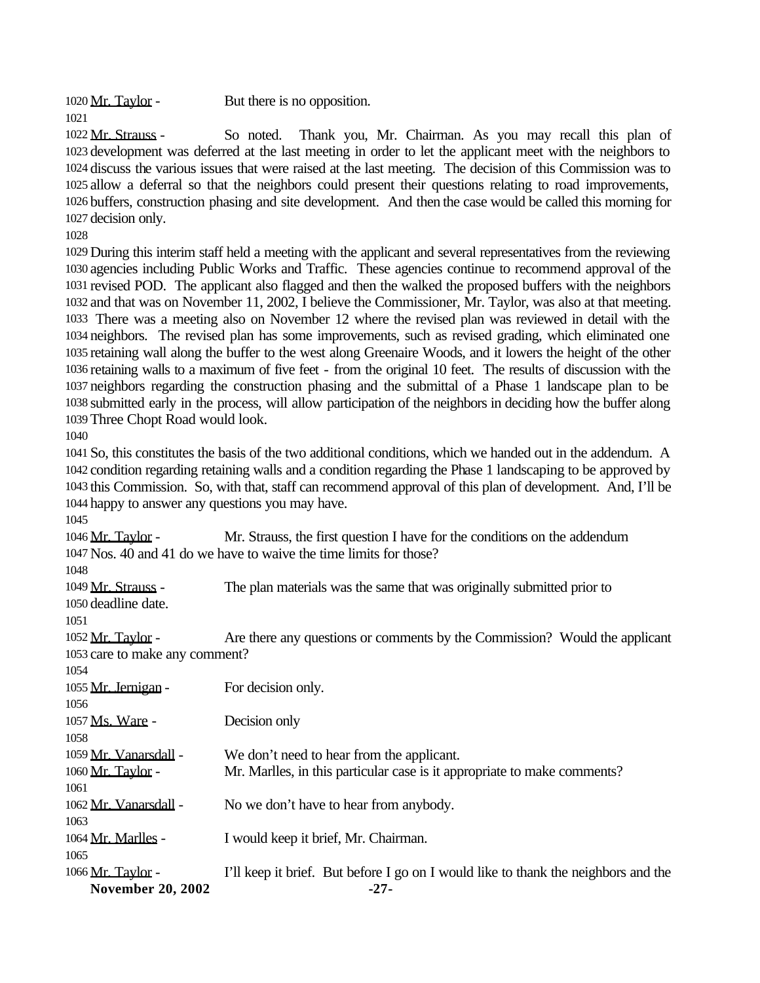1020 Mr. Taylor - But there is no opposition.

 Mr. Strauss - So noted. Thank you, Mr. Chairman. As you may recall this plan of development was deferred at the last meeting in order to let the applicant meet with the neighbors to discuss the various issues that were raised at the last meeting. The decision of this Commission was to allow a deferral so that the neighbors could present their questions relating to road improvements, buffers, construction phasing and site development. And then the case would be called this morning for decision only.

 During this interim staff held a meeting with the applicant and several representatives from the reviewing agencies including Public Works and Traffic. These agencies continue to recommend approval of the revised POD. The applicant also flagged and then the walked the proposed buffers with the neighbors and that was on November 11, 2002, I believe the Commissioner, Mr. Taylor, was also at that meeting. There was a meeting also on November 12 where the revised plan was reviewed in detail with the neighbors. The revised plan has some improvements, such as revised grading, which eliminated one retaining wall along the buffer to the west along Greenaire Woods, and it lowers the height of the other retaining walls to a maximum of five feet - from the original 10 feet. The results of discussion with the neighbors regarding the construction phasing and the submittal of a Phase 1 landscape plan to be submitted early in the process, will allow participation of the neighbors in deciding how the buffer along Three Chopt Road would look.

 So, this constitutes the basis of the two additional conditions, which we handed out in the addendum. A condition regarding retaining walls and a condition regarding the Phase 1 landscaping to be approved by this Commission. So, with that, staff can recommend approval of this plan of development. And, I'll be happy to answer any questions you may have.

| <b>November 20, 2002</b>       | $-27-$                                                                             |
|--------------------------------|------------------------------------------------------------------------------------|
| 1066 Mr. Taylor -              | I'll keep it brief. But before I go on I would like to thank the neighbors and the |
| 1065                           |                                                                                    |
| 1064 Mr. Marlles -             | I would keep it brief, Mr. Chairman.                                               |
| 1063                           |                                                                                    |
| 1062 Mr. Vanarsdall -          | No we don't have to hear from anybody.                                             |
| 1061                           |                                                                                    |
| 1060 Mr. Taylor -              | Mr. Marlles, in this particular case is it appropriate to make comments?           |
| 1059 Mr. Vanarsdall -          | We don't need to hear from the applicant.                                          |
| 1058                           |                                                                                    |
| 1057 Ms. Ware -                | Decision only                                                                      |
| 1056                           |                                                                                    |
| 1055 Mr. Jernigan -            | For decision only.                                                                 |
| 1054                           |                                                                                    |
| 1053 care to make any comment? |                                                                                    |
| 1052 Mr. Taylor -              | Are there any questions or comments by the Commission? Would the applicant         |
| 1050 deadline date.<br>1051    |                                                                                    |
| 1049 Mr. Strauss -             | The plan materials was the same that was originally submitted prior to             |
| 1048                           |                                                                                    |
|                                | 1047 Nos. 40 and 41 do we have to waive the time limits for those?                 |
| 1046 <u>Mr. Taylor</u> -       | Mr. Strauss, the first question I have for the conditions on the addendum          |
|                                |                                                                                    |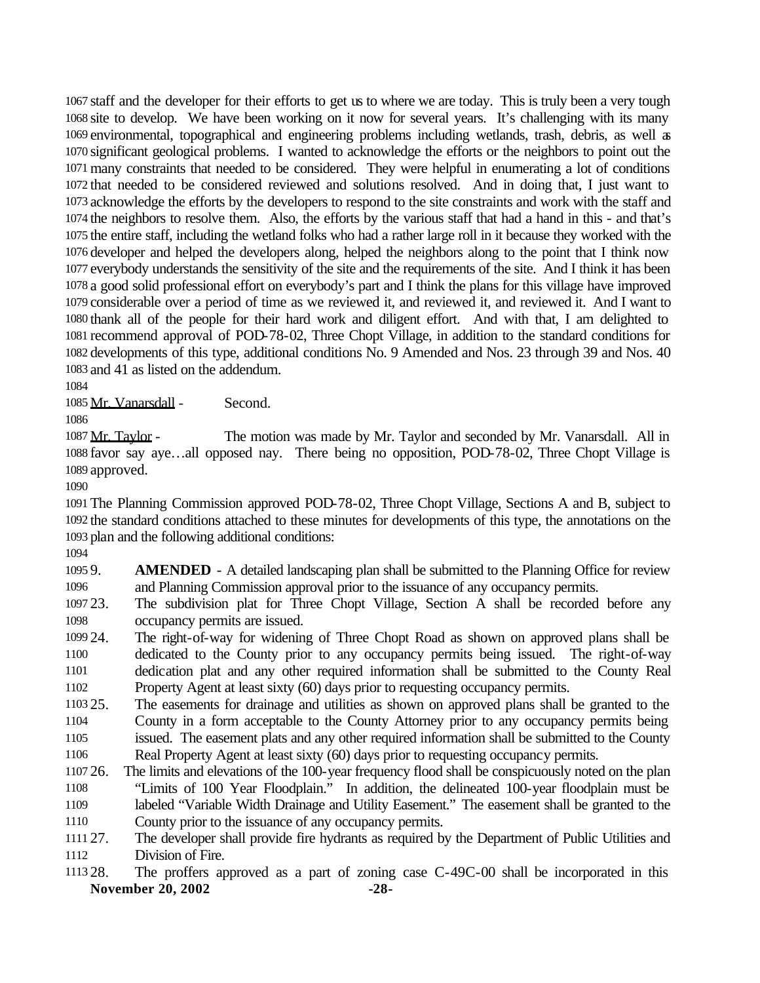staff and the developer for their efforts to get us to where we are today. This is truly been a very tough site to develop. We have been working on it now for several years. It's challenging with its many environmental, topographical and engineering problems including wetlands, trash, debris, as well as significant geological problems. I wanted to acknowledge the efforts or the neighbors to point out the many constraints that needed to be considered. They were helpful in enumerating a lot of conditions that needed to be considered reviewed and solutions resolved. And in doing that, I just want to acknowledge the efforts by the developers to respond to the site constraints and work with the staff and the neighbors to resolve them. Also, the efforts by the various staff that had a hand in this - and that's the entire staff, including the wetland folks who had a rather large roll in it because they worked with the developer and helped the developers along, helped the neighbors along to the point that I think now everybody understands the sensitivity of the site and the requirements of the site. And I think it has been a good solid professional effort on everybody's part and I think the plans for this village have improved considerable over a period of time as we reviewed it, and reviewed it, and reviewed it. And I want to thank all of the people for their hard work and diligent effort. And with that, I am delighted to recommend approval of POD-78-02, Three Chopt Village, in addition to the standard conditions for developments of this type, additional conditions No. 9 Amended and Nos. 23 through 39 and Nos. 40 and 41 as listed on the addendum.

Mr. Vanarsdall - Second.

1087 Mr. Taylor - The motion was made by Mr. Taylor and seconded by Mr. Vanarsdall. All in favor say aye…all opposed nay. There being no opposition, POD-78-02, Three Chopt Village is approved.

 The Planning Commission approved POD-78-02, Three Chopt Village, Sections A and B, subject to the standard conditions attached to these minutes for developments of this type, the annotations on the plan and the following additional conditions:

 9. **AMENDED** - A detailed landscaping plan shall be submitted to the Planning Office for review and Planning Commission approval prior to the issuance of any occupancy permits.

 23. The subdivision plat for Three Chopt Village, Section A shall be recorded before any occupancy permits are issued.

 24. The right-of-way for widening of Three Chopt Road as shown on approved plans shall be dedicated to the County prior to any occupancy permits being issued. The right-of-way dedication plat and any other required information shall be submitted to the County Real Property Agent at least sixty (60) days prior to requesting occupancy permits.

 25. The easements for drainage and utilities as shown on approved plans shall be granted to the County in a form acceptable to the County Attorney prior to any occupancy permits being issued. The easement plats and any other required information shall be submitted to the County

Real Property Agent at least sixty (60) days prior to requesting occupancy permits.

 26. The limits and elevations of the 100-year frequency flood shall be conspicuously noted on the plan "Limits of 100 Year Floodplain." In addition, the delineated 100-year floodplain must be labeled "Variable Width Drainage and Utility Easement." The easement shall be granted to the County prior to the issuance of any occupancy permits.

 27. The developer shall provide fire hydrants as required by the Department of Public Utilities and Division of Fire.

### **November 20, 2002 -28-** 28. The proffers approved as a part of zoning case C-49C-00 shall be incorporated in this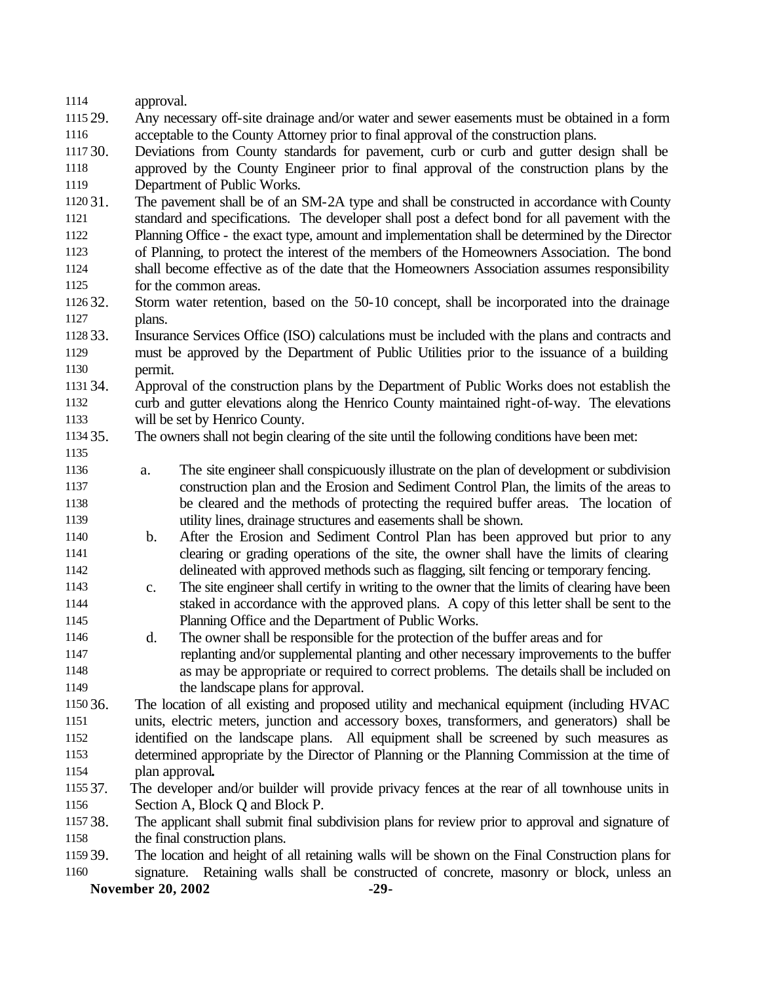| 1114     | approval.                                                                                                      |
|----------|----------------------------------------------------------------------------------------------------------------|
| 1115 29. | Any necessary off-site drainage and/or water and sewer easements must be obtained in a form                    |
| 1116     | acceptable to the County Attorney prior to final approval of the construction plans.                           |
| 1117 30. | Deviations from County standards for pavement, curb or curb and gutter design shall be                         |
| 1118     | approved by the County Engineer prior to final approval of the construction plans by the                       |
| 1119     | Department of Public Works.                                                                                    |
| 1120 31. | The pavement shall be of an SM-2A type and shall be constructed in accordance with County                      |
| 1121     | standard and specifications. The developer shall post a defect bond for all pavement with the                  |
| 1122     | Planning Office - the exact type, amount and implementation shall be determined by the Director                |
| 1123     | of Planning, to protect the interest of the members of the Homeowners Association. The bond                    |
| 1124     | shall become effective as of the date that the Homeowners Association assumes responsibility                   |
| 1125     | for the common areas.                                                                                          |
| 1126 32. | Storm water retention, based on the 50-10 concept, shall be incorporated into the drainage                     |
| 1127     | plans.                                                                                                         |
| 1128 33. | Insurance Services Office (ISO) calculations must be included with the plans and contracts and                 |
| 1129     | must be approved by the Department of Public Utilities prior to the issuance of a building                     |
| 1130     | permit.                                                                                                        |
| 1131 34. | Approval of the construction plans by the Department of Public Works does not establish the                    |
| 1132     | curb and gutter elevations along the Henrico County maintained right-of-way. The elevations                    |
| 1133     | will be set by Henrico County.                                                                                 |
| 1134 35. | The owners shall not begin clearing of the site until the following conditions have been met:                  |
| 1135     |                                                                                                                |
| 1136     | The site engineer shall conspicuously illustrate on the plan of development or subdivision<br>a.               |
| 1137     | construction plan and the Erosion and Sediment Control Plan, the limits of the areas to                        |
| 1138     | be cleared and the methods of protecting the required buffer areas. The location of                            |
| 1139     | utility lines, drainage structures and easements shall be shown.                                               |
| 1140     | After the Erosion and Sediment Control Plan has been approved but prior to any<br>b.                           |
| 1141     | clearing or grading operations of the site, the owner shall have the limits of clearing                        |
| 1142     | delineated with approved methods such as flagging, silt fencing or temporary fencing.                          |
| 1143     | The site engineer shall certify in writing to the owner that the limits of clearing have been<br>$\mathbf{c}.$ |
| 1144     | staked in accordance with the approved plans. A copy of this letter shall be sent to the                       |
| 1145     | Planning Office and the Department of Public Works.                                                            |
| 1146     | The owner shall be responsible for the protection of the buffer areas and for<br>d.                            |
| 1147     | replanting and/or supplemental planting and other necessary improvements to the buffer                         |
| 1148     | as may be appropriate or required to correct problems. The details shall be included on                        |
| 1149     | the landscape plans for approval.                                                                              |
| 1150 36. | The location of all existing and proposed utility and mechanical equipment (including HVAC                     |
| 1151     | units, electric meters, junction and accessory boxes, transformers, and generators) shall be                   |
| 1152     | identified on the landscape plans. All equipment shall be screened by such measures as                         |
| 1153     | determined appropriate by the Director of Planning or the Planning Commission at the time of                   |
| 1154     | plan approval.                                                                                                 |
| 1155 37. | The developer and/or builder will provide privacy fences at the rear of all townhouse units in                 |
| 1156     | Section A, Block Q and Block P.                                                                                |
| 1157 38. | The applicant shall submit final subdivision plans for review prior to approval and signature of               |
| 1158     | the final construction plans.                                                                                  |
| 1159 39. | The location and height of all retaining walls will be shown on the Final Construction plans for               |
| 1160     | signature. Retaining walls shall be constructed of concrete, masonry or block, unless an                       |
|          | <b>November 20, 2002</b><br>$-29-$                                                                             |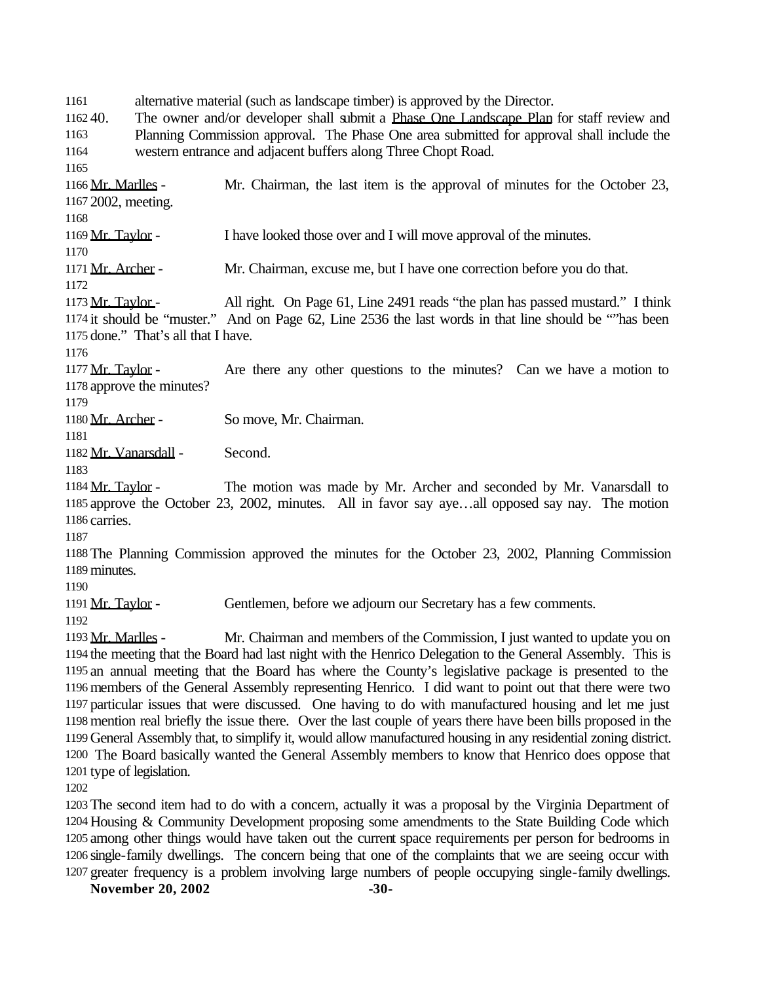alternative material (such as landscape timber) is approved by the Director.

 40. The owner and/or developer shall submit a Phase One Landscape Plan for staff review and Planning Commission approval. The Phase One area submitted for approval shall include the western entrance and adjacent buffers along Three Chopt Road.

 Mr. Marlles - Mr. Chairman, the last item is the approval of minutes for the October 23, 2002, meeting.

1169 Mr. Taylor - I have looked those over and I will move approval of the minutes.

1171 Mr. Archer - Mr. Chairman, excuse me, but I have one correction before you do that.

1173  $Mr. Taylor$ - All right. On Page 61, Line 2491 reads "the plan has passed mustard." I think it should be "muster." And on Page 62, Line 2536 the last words in that line should be ""has been done." That's all that I have.

1177 Mr. Taylor - Are there any other questions to the minutes? Can we have a motion to approve the minutes?

1180 Mr. Archer - So move, Mr. Chairman.

Mr. Vanarsdall - Second.

1184 Mr. Taylor - The motion was made by Mr. Archer and seconded by Mr. Vanarsdall to approve the October 23, 2002, minutes. All in favor say aye…all opposed say nay. The motion carries.

 The Planning Commission approved the minutes for the October 23, 2002, Planning Commission minutes.

1191 Mr. Taylor - Gentlemen, before we adjourn our Secretary has a few comments.

1193 Mr. Marlles - Mr. Chairman and members of the Commission, I just wanted to update you on the meeting that the Board had last night with the Henrico Delegation to the General Assembly. This is an annual meeting that the Board has where the County's legislative package is presented to the members of the General Assembly representing Henrico. I did want to point out that there were two particular issues that were discussed. One having to do with manufactured housing and let me just mention real briefly the issue there. Over the last couple of years there have been bills proposed in the General Assembly that, to simplify it, would allow manufactured housing in any residential zoning district. The Board basically wanted the General Assembly members to know that Henrico does oppose that type of legislation.

 The second item had to do with a concern, actually it was a proposal by the Virginia Department of Housing & Community Development proposing some amendments to the State Building Code which among other things would have taken out the current space requirements per person for bedrooms in single-family dwellings. The concern being that one of the complaints that we are seeing occur with greater frequency is a problem involving large numbers of people occupying single-family dwellings.

**November 20, 2002 -30-**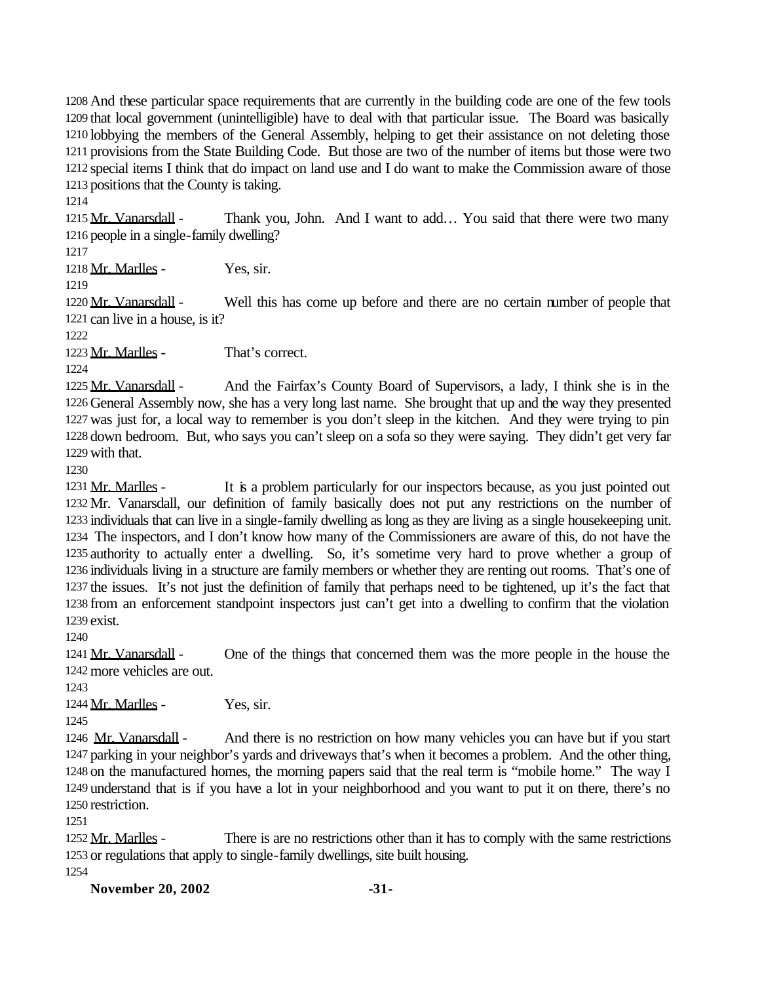And these particular space requirements that are currently in the building code are one of the few tools that local government (unintelligible) have to deal with that particular issue. The Board was basically lobbying the members of the General Assembly, helping to get their assistance on not deleting those provisions from the State Building Code. But those are two of the number of items but those were two special items I think that do impact on land use and I do want to make the Commission aware of those positions that the County is taking.

1215 Mr. Vanarsdall - Thank you, John. And I want to add... You said that there were two many people in a single-family dwelling?

Mr. Marlles - Yes, sir.

1220 Mr. Vanarsdall - Well this has come up before and there are no certain number of people that can live in a house, is it?

Mr. Marlles - That's correct.

1225 Mr. Vanarsdall - And the Fairfax's County Board of Supervisors, a lady, I think she is in the General Assembly now, she has a very long last name. She brought that up and the way they presented was just for, a local way to remember is you don't sleep in the kitchen. And they were trying to pin down bedroom. But, who says you can't sleep on a sofa so they were saying. They didn't get very far with that.

1231 Mr. Marlles - It is a problem particularly for our inspectors because, as you just pointed out Mr. Vanarsdall, our definition of family basically does not put any restrictions on the number of individuals that can live in a single-family dwelling as long as they are living as a single housekeeping unit. The inspectors, and I don't know how many of the Commissioners are aware of this, do not have the authority to actually enter a dwelling. So, it's sometime very hard to prove whether a group of individuals living in a structure are family members or whether they are renting out rooms. That's one of the issues. It's not just the definition of family that perhaps need to be tightened, up it's the fact that from an enforcement standpoint inspectors just can't get into a dwelling to confirm that the violation exist.

1241 Mr. Vanarsdall - One of the things that concerned them was the more people in the house the more vehicles are out.

Mr. Marlles - Yes, sir.

1246 Mr. Vanarsdall - And there is no restriction on how many vehicles you can have but if you start parking in your neighbor's yards and driveways that's when it becomes a problem. And the other thing, on the manufactured homes, the morning papers said that the real term is "mobile home." The way I understand that is if you have a lot in your neighborhood and you want to put it on there, there's no restriction.

1252 Mr. Marlles - There is are no restrictions other than it has to comply with the same restrictions or regulations that apply to single-family dwellings, site built housing.

**November 20, 2002 -31-**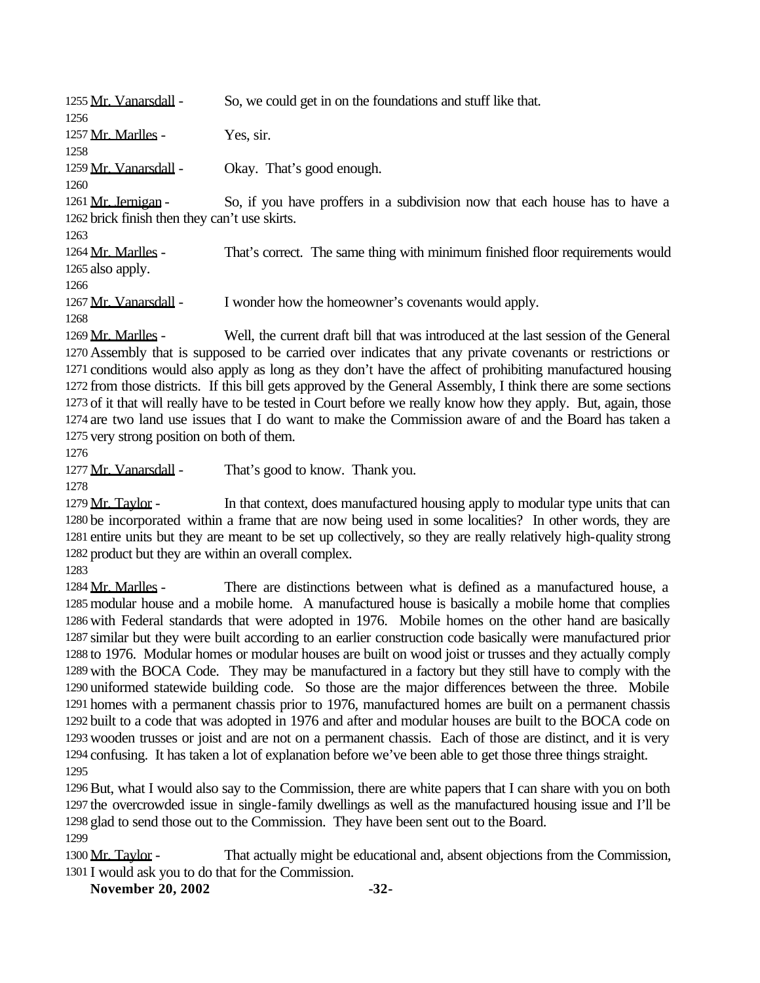| 1255 Mr. Vanarsdall -                         | So, we could get in on the foundations and stuff like that.                   |
|-----------------------------------------------|-------------------------------------------------------------------------------|
| 1256                                          |                                                                               |
| 1257 Mr. Marlles -                            | Yes, sir.                                                                     |
| 1258                                          |                                                                               |
| 1259 Mr. Vanarsdall -                         | Okay. That's good enough.                                                     |
| 1260                                          |                                                                               |
| 1261 Mr. Jernigan -                           | So, if you have proffers in a subdivision now that each house has to have a   |
| 1262 brick finish then they can't use skirts. |                                                                               |
| 1263                                          |                                                                               |
| 1264 Mr. Marlles -                            | That's correct. The same thing with minimum finished floor requirements would |
| 1265 also apply.                              |                                                                               |
| 1266                                          |                                                                               |
| 1267 Mr. Vanarsdall -                         | I wonder how the homeowner's covenants would apply.                           |
| 1268                                          |                                                                               |

 Mr. Marlles - Well, the current draft bill that was introduced at the last session of the General Assembly that is supposed to be carried over indicates that any private covenants or restrictions or conditions would also apply as long as they don't have the affect of prohibiting manufactured housing from those districts. If this bill gets approved by the General Assembly, I think there are some sections of it that will really have to be tested in Court before we really know how they apply. But, again, those are two land use issues that I do want to make the Commission aware of and the Board has taken a very strong position on both of them.

1277 Mr. Vanarsdall - That's good to know. Thank you.

1279 Mr. Taylor - In that context, does manufactured housing apply to modular type units that can be incorporated within a frame that are now being used in some localities? In other words, they are entire units but they are meant to be set up collectively, so they are really relatively high-quality strong product but they are within an overall complex.

1284 Mr. Marlles - There are distinctions between what is defined as a manufactured house, a modular house and a mobile home. A manufactured house is basically a mobile home that complies with Federal standards that were adopted in 1976. Mobile homes on the other hand are basically similar but they were built according to an earlier construction code basically were manufactured prior to 1976. Modular homes or modular houses are built on wood joist or trusses and they actually comply with the BOCA Code. They may be manufactured in a factory but they still have to comply with the uniformed statewide building code. So those are the major differences between the three. Mobile homes with a permanent chassis prior to 1976, manufactured homes are built on a permanent chassis built to a code that was adopted in 1976 and after and modular houses are built to the BOCA code on wooden trusses or joist and are not on a permanent chassis. Each of those are distinct, and it is very confusing. It has taken a lot of explanation before we've been able to get those three things straight. 

But, what I would also say to the Commission, there are white papers that I can share with you on both the overcrowded issue in single-family dwellings as well as the manufactured housing issue and I'll be glad to send those out to the Commission. They have been sent out to the Board. 

1300 Mr. Taylor - That actually might be educational and, absent objections from the Commission, I would ask you to do that for the Commission.

**November 20, 2002 -32-**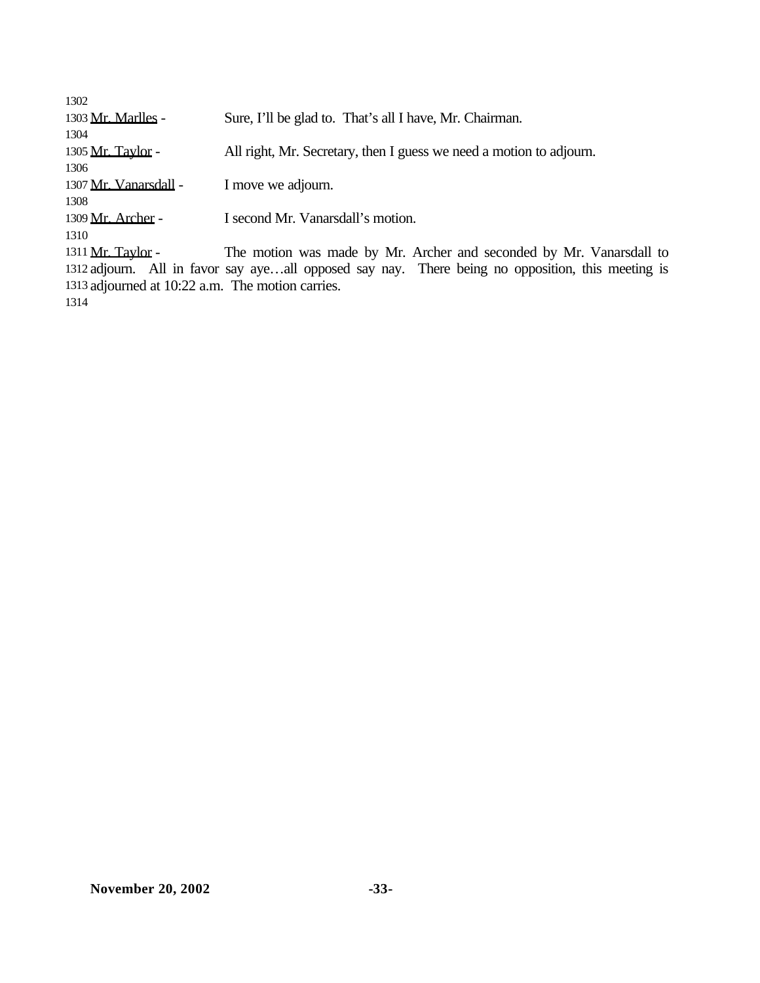| 1302                                                                                              |                                                                     |  |
|---------------------------------------------------------------------------------------------------|---------------------------------------------------------------------|--|
| 1303 Mr. Marlles -                                                                                | Sure, I'll be glad to. That's all I have, Mr. Chairman.             |  |
| 1304                                                                                              |                                                                     |  |
| 1305 Mr. Taylor -                                                                                 | All right, Mr. Secretary, then I guess we need a motion to adjourn. |  |
| 1306                                                                                              |                                                                     |  |
| 1307 Mr. Vanarsdall -                                                                             | I move we adjourn.                                                  |  |
| 1308                                                                                              |                                                                     |  |
| 1309 Mr. Archer -                                                                                 | I second Mr. Vanarsdall's motion.                                   |  |
| 1310                                                                                              |                                                                     |  |
| 1311 <u>Mr. Taylor</u> -                                                                          | The motion was made by Mr. Archer and seconded by Mr. Vanarsdall to |  |
| 1312 adjourn. All in favor say ayeall opposed say nay. There being no opposition, this meeting is |                                                                     |  |
| 1313 adjourned at 10:22 a.m. The motion carries.                                                  |                                                                     |  |
| 1314                                                                                              |                                                                     |  |